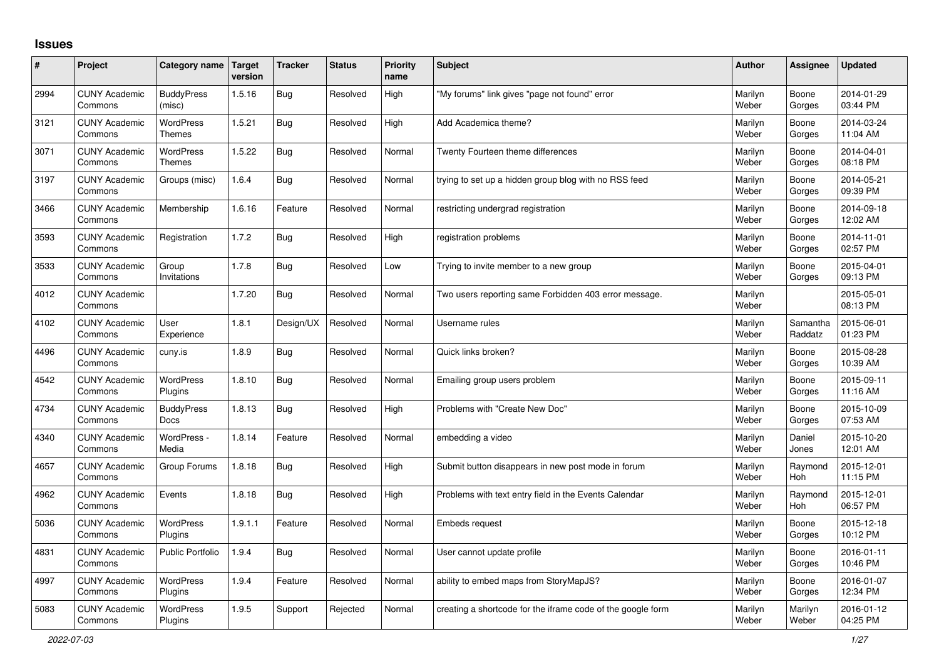## **Issues**

| #    | Project                         | Category name                    | <b>Target</b><br>version | <b>Tracker</b> | <b>Status</b> | <b>Priority</b><br>name | <b>Subject</b>                                              | <b>Author</b>    | Assignee            | <b>Updated</b>         |
|------|---------------------------------|----------------------------------|--------------------------|----------------|---------------|-------------------------|-------------------------------------------------------------|------------------|---------------------|------------------------|
| 2994 | <b>CUNY Academic</b><br>Commons | <b>BuddyPress</b><br>(misc)      | 1.5.16                   | Bug            | Resolved      | High                    | "My forums" link gives "page not found" error               | Marilyn<br>Weber | Boone<br>Gorges     | 2014-01-29<br>03:44 PM |
| 3121 | <b>CUNY Academic</b><br>Commons | <b>WordPress</b><br>Themes       | 1.5.21                   | Bug            | Resolved      | High                    | Add Academica theme?                                        | Marilyn<br>Weber | Boone<br>Gorges     | 2014-03-24<br>11:04 AM |
| 3071 | <b>CUNY Academic</b><br>Commons | WordPress<br><b>Themes</b>       | 1.5.22                   | Bug            | Resolved      | Normal                  | Twenty Fourteen theme differences                           | Marilyn<br>Weber | Boone<br>Gorges     | 2014-04-01<br>08:18 PM |
| 3197 | <b>CUNY Academic</b><br>Commons | Groups (misc)                    | 1.6.4                    | Bug            | Resolved      | Normal                  | trying to set up a hidden group blog with no RSS feed       | Marilyn<br>Weber | Boone<br>Gorges     | 2014-05-21<br>09:39 PM |
| 3466 | <b>CUNY Academic</b><br>Commons | Membership                       | 1.6.16                   | Feature        | Resolved      | Normal                  | restricting undergrad registration                          | Marilyn<br>Weber | Boone<br>Gorges     | 2014-09-18<br>12:02 AM |
| 3593 | <b>CUNY Academic</b><br>Commons | Registration                     | 1.7.2                    | Bug            | Resolved      | High                    | registration problems                                       | Marilyn<br>Weber | Boone<br>Gorges     | 2014-11-01<br>02:57 PM |
| 3533 | <b>CUNY Academic</b><br>Commons | Group<br>Invitations             | 1.7.8                    | Bug            | Resolved      | Low                     | Trying to invite member to a new group                      | Marilyn<br>Weber | Boone<br>Gorges     | 2015-04-01<br>09:13 PM |
| 4012 | <b>CUNY Academic</b><br>Commons |                                  | 1.7.20                   | Bug            | Resolved      | Normal                  | Two users reporting same Forbidden 403 error message.       | Marilyn<br>Weber |                     | 2015-05-01<br>08:13 PM |
| 4102 | <b>CUNY Academic</b><br>Commons | User<br>Experience               | 1.8.1                    | Design/UX      | Resolved      | Normal                  | Username rules                                              | Marilyn<br>Weber | Samantha<br>Raddatz | 2015-06-01<br>01:23 PM |
| 4496 | <b>CUNY Academic</b><br>Commons | cuny.is                          | 1.8.9                    | Bug            | Resolved      | Normal                  | Quick links broken?                                         | Marilyn<br>Weber | Boone<br>Gorges     | 2015-08-28<br>10:39 AM |
| 4542 | <b>CUNY Academic</b><br>Commons | WordPress<br>Plugins             | 1.8.10                   | Bug            | Resolved      | Normal                  | Emailing group users problem                                | Marilyn<br>Weber | Boone<br>Gorges     | 2015-09-11<br>11:16 AM |
| 4734 | <b>CUNY Academic</b><br>Commons | <b>BuddyPress</b><br><b>Docs</b> | 1.8.13                   | <b>Bug</b>     | Resolved      | High                    | Problems with "Create New Doc"                              | Marilyn<br>Weber | Boone<br>Gorges     | 2015-10-09<br>07:53 AM |
| 4340 | <b>CUNY Academic</b><br>Commons | WordPress -<br>Media             | 1.8.14                   | Feature        | Resolved      | Normal                  | embedding a video                                           | Marilyn<br>Weber | Daniel<br>Jones     | 2015-10-20<br>12:01 AM |
| 4657 | <b>CUNY Academic</b><br>Commons | Group Forums                     | 1.8.18                   | Bug            | Resolved      | High                    | Submit button disappears in new post mode in forum          | Marilyn<br>Weber | Raymond<br>Hoh      | 2015-12-01<br>11:15 PM |
| 4962 | <b>CUNY Academic</b><br>Commons | Events                           | 1.8.18                   | Bug            | Resolved      | High                    | Problems with text entry field in the Events Calendar       | Marilyn<br>Weber | Raymond<br>Hoh      | 2015-12-01<br>06:57 PM |
| 5036 | <b>CUNY Academic</b><br>Commons | WordPress<br>Plugins             | 1.9.1.1                  | Feature        | Resolved      | Normal                  | Embeds request                                              | Marilyn<br>Weber | Boone<br>Gorges     | 2015-12-18<br>10:12 PM |
| 4831 | <b>CUNY Academic</b><br>Commons | <b>Public Portfolio</b>          | 1.9.4                    | <b>Bug</b>     | Resolved      | Normal                  | User cannot update profile                                  | Marilyn<br>Weber | Boone<br>Gorges     | 2016-01-11<br>10:46 PM |
| 4997 | <b>CUNY Academic</b><br>Commons | WordPress<br>Plugins             | 1.9.4                    | Feature        | Resolved      | Normal                  | ability to embed maps from StoryMapJS?                      | Marilyn<br>Weber | Boone<br>Gorges     | 2016-01-07<br>12:34 PM |
| 5083 | <b>CUNY Academic</b><br>Commons | WordPress<br>Plugins             | 1.9.5                    | Support        | Rejected      | Normal                  | creating a shortcode for the iframe code of the google form | Marilyn<br>Weber | Marilyn<br>Weber    | 2016-01-12<br>04:25 PM |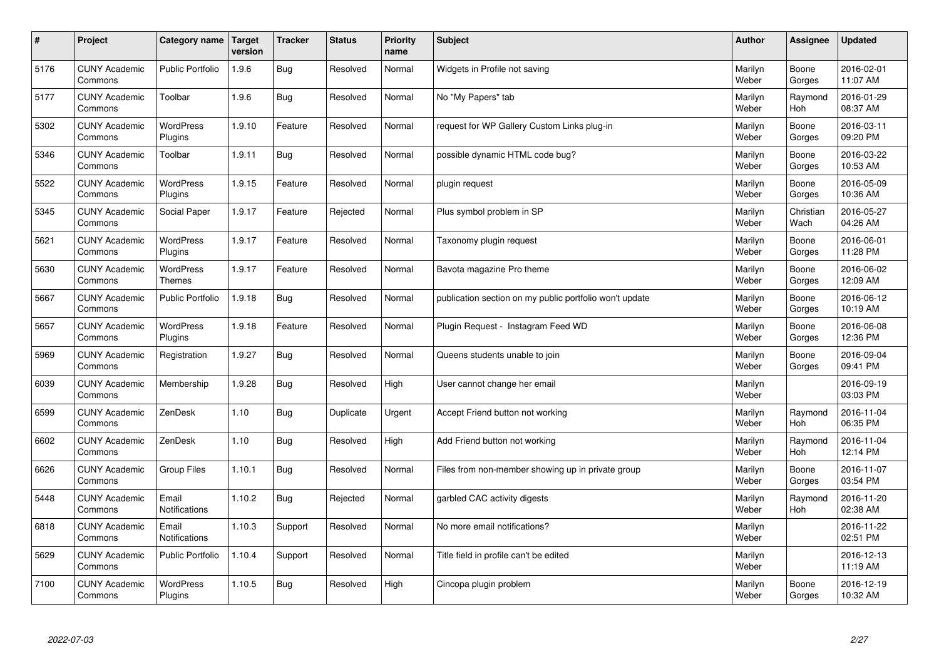| $\vert$ # | Project                         | Category name               | Target<br>version | <b>Tracker</b> | <b>Status</b> | <b>Priority</b><br>name | <b>Subject</b>                                          | <b>Author</b>    | Assignee              | <b>Updated</b>         |
|-----------|---------------------------------|-----------------------------|-------------------|----------------|---------------|-------------------------|---------------------------------------------------------|------------------|-----------------------|------------------------|
| 5176      | <b>CUNY Academic</b><br>Commons | <b>Public Portfolio</b>     | 1.9.6             | Bug            | Resolved      | Normal                  | Widgets in Profile not saving                           | Marilyn<br>Weber | Boone<br>Gorges       | 2016-02-01<br>11:07 AM |
| 5177      | <b>CUNY Academic</b><br>Commons | Toolbar                     | 1.9.6             | <b>Bug</b>     | Resolved      | Normal                  | No "My Papers" tab                                      | Marilyn<br>Weber | Raymond<br>Hoh        | 2016-01-29<br>08:37 AM |
| 5302      | <b>CUNY Academic</b><br>Commons | <b>WordPress</b><br>Plugins | 1.9.10            | Feature        | Resolved      | Normal                  | request for WP Gallery Custom Links plug-in             | Marilyn<br>Weber | Boone<br>Gorges       | 2016-03-11<br>09:20 PM |
| 5346      | <b>CUNY Academic</b><br>Commons | Toolbar                     | 1.9.11            | <b>Bug</b>     | Resolved      | Normal                  | possible dynamic HTML code bug?                         | Marilyn<br>Weber | Boone<br>Gorges       | 2016-03-22<br>10:53 AM |
| 5522      | <b>CUNY Academic</b><br>Commons | WordPress<br>Plugins        | 1.9.15            | Feature        | Resolved      | Normal                  | plugin request                                          | Marilyn<br>Weber | Boone<br>Gorges       | 2016-05-09<br>10:36 AM |
| 5345      | <b>CUNY Academic</b><br>Commons | Social Paper                | 1.9.17            | Feature        | Rejected      | Normal                  | Plus symbol problem in SP                               | Marilyn<br>Weber | Christian<br>Wach     | 2016-05-27<br>04:26 AM |
| 5621      | <b>CUNY Academic</b><br>Commons | WordPress<br>Plugins        | 1.9.17            | Feature        | Resolved      | Normal                  | Taxonomy plugin request                                 | Marilyn<br>Weber | Boone<br>Gorges       | 2016-06-01<br>11:28 PM |
| 5630      | <b>CUNY Academic</b><br>Commons | WordPress<br><b>Themes</b>  | 1.9.17            | Feature        | Resolved      | Normal                  | Bavota magazine Pro theme                               | Marilyn<br>Weber | Boone<br>Gorges       | 2016-06-02<br>12:09 AM |
| 5667      | <b>CUNY Academic</b><br>Commons | <b>Public Portfolio</b>     | 1.9.18            | Bug            | Resolved      | Normal                  | publication section on my public portfolio won't update | Marilyn<br>Weber | Boone<br>Gorges       | 2016-06-12<br>10:19 AM |
| 5657      | <b>CUNY Academic</b><br>Commons | WordPress<br>Plugins        | 1.9.18            | Feature        | Resolved      | Normal                  | Plugin Request - Instagram Feed WD                      | Marilyn<br>Weber | Boone<br>Gorges       | 2016-06-08<br>12:36 PM |
| 5969      | <b>CUNY Academic</b><br>Commons | Registration                | 1.9.27            | Bug            | Resolved      | Normal                  | Queens students unable to join                          | Marilyn<br>Weber | Boone<br>Gorges       | 2016-09-04<br>09:41 PM |
| 6039      | <b>CUNY Academic</b><br>Commons | Membership                  | 1.9.28            | Bug            | Resolved      | High                    | User cannot change her email                            | Marilyn<br>Weber |                       | 2016-09-19<br>03:03 PM |
| 6599      | <b>CUNY Academic</b><br>Commons | ZenDesk                     | 1.10              | Bug            | Duplicate     | Urgent                  | Accept Friend button not working                        | Marilyn<br>Weber | Raymond<br><b>Hoh</b> | 2016-11-04<br>06:35 PM |
| 6602      | <b>CUNY Academic</b><br>Commons | ZenDesk                     | 1.10              | Bug            | Resolved      | High                    | Add Friend button not working                           | Marilyn<br>Weber | Raymond<br>Hoh        | 2016-11-04<br>12:14 PM |
| 6626      | <b>CUNY Academic</b><br>Commons | <b>Group Files</b>          | 1.10.1            | Bug            | Resolved      | Normal                  | Files from non-member showing up in private group       | Marilyn<br>Weber | Boone<br>Gorges       | 2016-11-07<br>03:54 PM |
| 5448      | <b>CUNY Academic</b><br>Commons | Email<br>Notifications      | 1.10.2            | <b>Bug</b>     | Rejected      | Normal                  | garbled CAC activity digests                            | Marilyn<br>Weber | Raymond<br>Hoh        | 2016-11-20<br>02:38 AM |
| 6818      | <b>CUNY Academic</b><br>Commons | Email<br>Notifications      | 1.10.3            | Support        | Resolved      | Normal                  | No more email notifications?                            | Marilyn<br>Weber |                       | 2016-11-22<br>02:51 PM |
| 5629      | <b>CUNY Academic</b><br>Commons | <b>Public Portfolio</b>     | 1.10.4            | Support        | Resolved      | Normal                  | Title field in profile can't be edited                  | Marilyn<br>Weber |                       | 2016-12-13<br>11:19 AM |
| 7100      | <b>CUNY Academic</b><br>Commons | <b>WordPress</b><br>Plugins | 1.10.5            | Bug            | Resolved      | High                    | Cincopa plugin problem                                  | Marilyn<br>Weber | Boone<br>Gorges       | 2016-12-19<br>10:32 AM |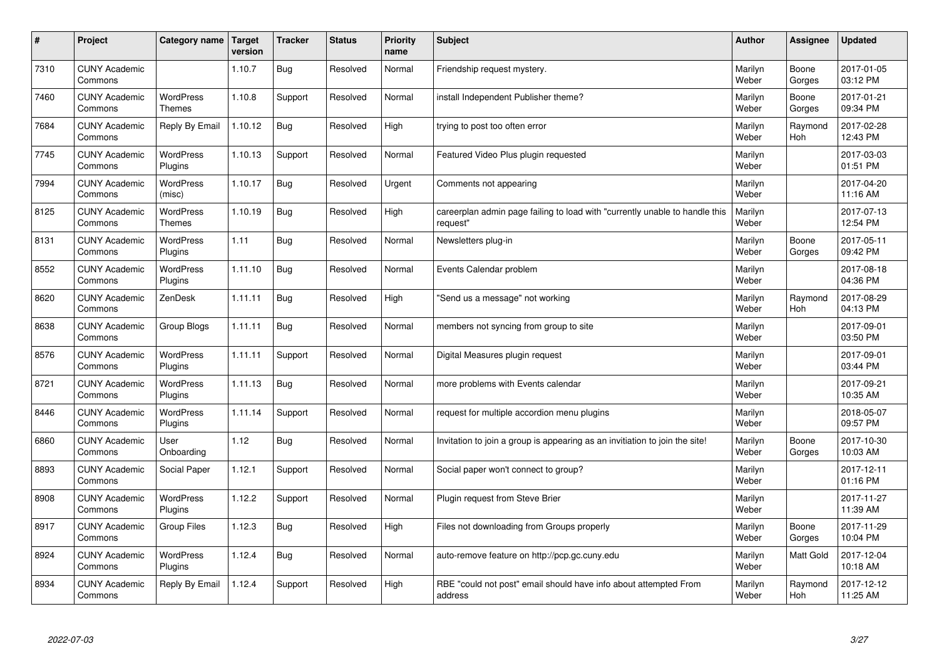| #    | Project                         | Category name                     | Target<br>version | <b>Tracker</b> | <b>Status</b> | <b>Priority</b><br>name | <b>Subject</b>                                                                          | <b>Author</b>    | Assignee              | <b>Updated</b>         |
|------|---------------------------------|-----------------------------------|-------------------|----------------|---------------|-------------------------|-----------------------------------------------------------------------------------------|------------------|-----------------------|------------------------|
| 7310 | <b>CUNY Academic</b><br>Commons |                                   | 1.10.7            | Bug            | Resolved      | Normal                  | Friendship request mystery.                                                             | Marilyn<br>Weber | Boone<br>Gorges       | 2017-01-05<br>03:12 PM |
| 7460 | <b>CUNY Academic</b><br>Commons | <b>WordPress</b><br><b>Themes</b> | 1.10.8            | Support        | Resolved      | Normal                  | install Independent Publisher theme?                                                    | Marilyn<br>Weber | Boone<br>Gorges       | 2017-01-21<br>09:34 PM |
| 7684 | <b>CUNY Academic</b><br>Commons | Reply By Email                    | 1.10.12           | <b>Bug</b>     | Resolved      | High                    | trying to post too often error                                                          | Marilyn<br>Weber | Raymond<br><b>Hoh</b> | 2017-02-28<br>12:43 PM |
| 7745 | <b>CUNY Academic</b><br>Commons | <b>WordPress</b><br>Plugins       | 1.10.13           | Support        | Resolved      | Normal                  | Featured Video Plus plugin requested                                                    | Marilyn<br>Weber |                       | 2017-03-03<br>01:51 PM |
| 7994 | <b>CUNY Academic</b><br>Commons | <b>WordPress</b><br>(misc)        | 1.10.17           | Bug            | Resolved      | Urgent                  | Comments not appearing                                                                  | Marilyn<br>Weber |                       | 2017-04-20<br>11:16 AM |
| 8125 | <b>CUNY Academic</b><br>Commons | WordPress<br><b>Themes</b>        | 1.10.19           | <b>Bug</b>     | Resolved      | High                    | careerplan admin page failing to load with "currently unable to handle this<br>reauest" | Marilyn<br>Weber |                       | 2017-07-13<br>12:54 PM |
| 8131 | <b>CUNY Academic</b><br>Commons | <b>WordPress</b><br>Plugins       | 1.11              | Bug            | Resolved      | Normal                  | Newsletters plug-in                                                                     | Marilyn<br>Weber | Boone<br>Gorges       | 2017-05-11<br>09:42 PM |
| 8552 | <b>CUNY Academic</b><br>Commons | WordPress<br>Plugins              | 1.11.10           | Bug            | Resolved      | Normal                  | Events Calendar problem                                                                 | Marilyn<br>Weber |                       | 2017-08-18<br>04:36 PM |
| 8620 | <b>CUNY Academic</b><br>Commons | ZenDesk                           | 1.11.11           | Bug            | Resolved      | High                    | "Send us a message" not working                                                         | Marilyn<br>Weber | Raymond<br><b>Hoh</b> | 2017-08-29<br>04:13 PM |
| 8638 | <b>CUNY Academic</b><br>Commons | Group Blogs                       | 1.11.11           | Bug            | Resolved      | Normal                  | members not syncing from group to site                                                  | Marilyn<br>Weber |                       | 2017-09-01<br>03:50 PM |
| 8576 | <b>CUNY Academic</b><br>Commons | WordPress<br>Plugins              | 1.11.11           | Support        | Resolved      | Normal                  | Digital Measures plugin request                                                         | Marilyn<br>Weber |                       | 2017-09-01<br>03:44 PM |
| 8721 | <b>CUNY Academic</b><br>Commons | WordPress<br>Plugins              | 1.11.13           | <b>Bug</b>     | Resolved      | Normal                  | more problems with Events calendar                                                      | Marilyn<br>Weber |                       | 2017-09-21<br>10:35 AM |
| 8446 | <b>CUNY Academic</b><br>Commons | WordPress<br>Plugins              | 1.11.14           | Support        | Resolved      | Normal                  | request for multiple accordion menu plugins                                             | Marilyn<br>Weber |                       | 2018-05-07<br>09:57 PM |
| 6860 | <b>CUNY Academic</b><br>Commons | User<br>Onboarding                | 1.12              | Bug            | Resolved      | Normal                  | Invitation to join a group is appearing as an invitiation to join the site!             | Marilyn<br>Weber | Boone<br>Gorges       | 2017-10-30<br>10:03 AM |
| 8893 | <b>CUNY Academic</b><br>Commons | Social Paper                      | 1.12.1            | Support        | Resolved      | Normal                  | Social paper won't connect to group?                                                    | Marilyn<br>Weber |                       | 2017-12-11<br>01:16 PM |
| 8908 | <b>CUNY Academic</b><br>Commons | <b>WordPress</b><br>Plugins       | 1.12.2            | Support        | Resolved      | Normal                  | Plugin request from Steve Brier                                                         | Marilyn<br>Weber |                       | 2017-11-27<br>11:39 AM |
| 8917 | <b>CUNY Academic</b><br>Commons | Group Files                       | 1.12.3            | Bug            | Resolved      | High                    | Files not downloading from Groups properly                                              | Marilyn<br>Weber | Boone<br>Gorges       | 2017-11-29<br>10:04 PM |
| 8924 | <b>CUNY Academic</b><br>Commons | WordPress<br>Plugins              | 1.12.4            | <b>Bug</b>     | Resolved      | Normal                  | auto-remove feature on http://pcp.gc.cuny.edu                                           | Marilyn<br>Weber | Matt Gold             | 2017-12-04<br>10:18 AM |
| 8934 | <b>CUNY Academic</b><br>Commons | Reply By Email                    | 1.12.4            | Support        | Resolved      | High                    | RBE "could not post" email should have info about attempted From<br>address             | Marilyn<br>Weber | Raymond<br>Hoh        | 2017-12-12<br>11:25 AM |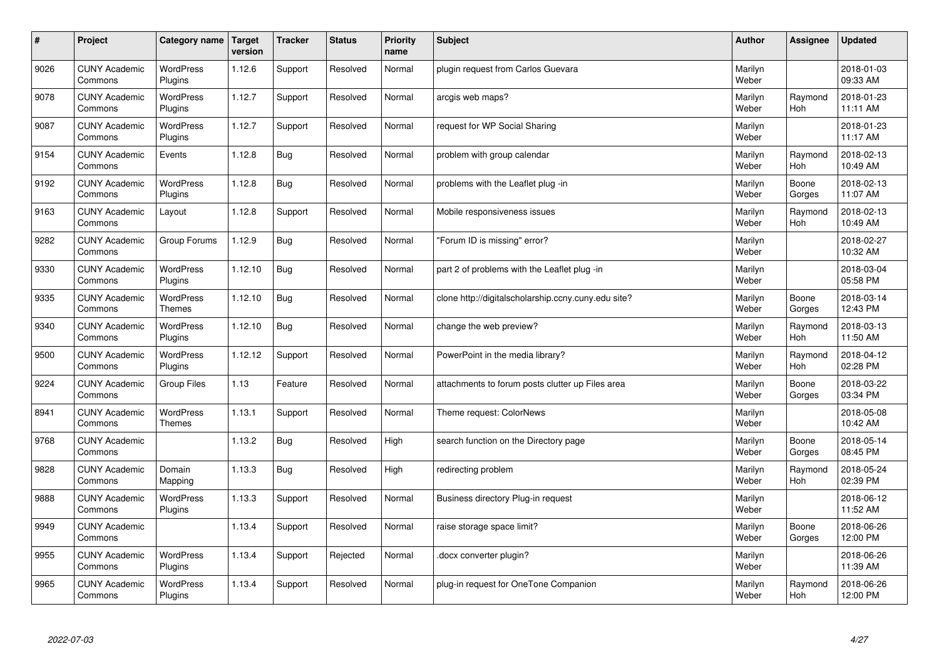| $\vert$ # | Project                         | Category name               | <b>Target</b><br>version | <b>Tracker</b> | <b>Status</b> | <b>Priority</b><br>name | <b>Subject</b>                                      | <b>Author</b>    | Assignee              | <b>Updated</b>         |
|-----------|---------------------------------|-----------------------------|--------------------------|----------------|---------------|-------------------------|-----------------------------------------------------|------------------|-----------------------|------------------------|
| 9026      | <b>CUNY Academic</b><br>Commons | <b>WordPress</b><br>Plugins | 1.12.6                   | Support        | Resolved      | Normal                  | plugin request from Carlos Guevara                  | Marilyn<br>Weber |                       | 2018-01-03<br>09:33 AM |
| 9078      | <b>CUNY Academic</b><br>Commons | <b>WordPress</b><br>Plugins | 1.12.7                   | Support        | Resolved      | Normal                  | arcgis web maps?                                    | Marilyn<br>Weber | Raymond<br>Hoh        | 2018-01-23<br>11:11 AM |
| 9087      | <b>CUNY Academic</b><br>Commons | <b>WordPress</b><br>Plugins | 1.12.7                   | Support        | Resolved      | Normal                  | request for WP Social Sharing                       | Marilyn<br>Weber |                       | 2018-01-23<br>11:17 AM |
| 9154      | <b>CUNY Academic</b><br>Commons | Events                      | 1.12.8                   | Bug            | Resolved      | Normal                  | problem with group calendar                         | Marilyn<br>Weber | Raymond<br><b>Hoh</b> | 2018-02-13<br>10:49 AM |
| 9192      | <b>CUNY Academic</b><br>Commons | <b>WordPress</b><br>Plugins | 1.12.8                   | Bug            | Resolved      | Normal                  | problems with the Leaflet plug -in                  | Marilyn<br>Weber | Boone<br>Gorges       | 2018-02-13<br>11:07 AM |
| 9163      | <b>CUNY Academic</b><br>Commons | Layout                      | 1.12.8                   | Support        | Resolved      | Normal                  | Mobile responsiveness issues                        | Marilyn<br>Weber | Raymond<br>Hoh        | 2018-02-13<br>10:49 AM |
| 9282      | <b>CUNY Academic</b><br>Commons | Group Forums                | 1.12.9                   | <b>Bug</b>     | Resolved      | Normal                  | "Forum ID is missing" error?                        | Marilyn<br>Weber |                       | 2018-02-27<br>10:32 AM |
| 9330      | <b>CUNY Academic</b><br>Commons | WordPress<br>Plugins        | 1.12.10                  | Bug            | Resolved      | Normal                  | part 2 of problems with the Leaflet plug -in        | Marilyn<br>Weber |                       | 2018-03-04<br>05:58 PM |
| 9335      | <b>CUNY Academic</b><br>Commons | WordPress<br><b>Themes</b>  | 1.12.10                  | <b>Bug</b>     | Resolved      | Normal                  | clone http://digitalscholarship.ccny.cuny.edu site? | Marilyn<br>Weber | Boone<br>Gorges       | 2018-03-14<br>12:43 PM |
| 9340      | <b>CUNY Academic</b><br>Commons | WordPress<br>Plugins        | 1.12.10                  | Bug            | Resolved      | Normal                  | change the web preview?                             | Marilyn<br>Weber | Raymond<br>Hoh        | 2018-03-13<br>11:50 AM |
| 9500      | <b>CUNY Academic</b><br>Commons | <b>WordPress</b><br>Plugins | 1.12.12                  | Support        | Resolved      | Normal                  | PowerPoint in the media library?                    | Marilyn<br>Weber | Raymond<br>Hoh        | 2018-04-12<br>02:28 PM |
| 9224      | <b>CUNY Academic</b><br>Commons | <b>Group Files</b>          | 1.13                     | Feature        | Resolved      | Normal                  | attachments to forum posts clutter up Files area    | Marilyn<br>Weber | Boone<br>Gorges       | 2018-03-22<br>03:34 PM |
| 8941      | <b>CUNY Academic</b><br>Commons | WordPress<br>Themes         | 1.13.1                   | Support        | Resolved      | Normal                  | Theme request: ColorNews                            | Marilyn<br>Weber |                       | 2018-05-08<br>10:42 AM |
| 9768      | <b>CUNY Academic</b><br>Commons |                             | 1.13.2                   | <b>Bug</b>     | Resolved      | High                    | search function on the Directory page               | Marilyn<br>Weber | Boone<br>Gorges       | 2018-05-14<br>08:45 PM |
| 9828      | <b>CUNY Academic</b><br>Commons | Domain<br>Mapping           | 1.13.3                   | <b>Bug</b>     | Resolved      | High                    | redirecting problem                                 | Marilyn<br>Weber | Raymond<br><b>Hoh</b> | 2018-05-24<br>02:39 PM |
| 9888      | <b>CUNY Academic</b><br>Commons | WordPress<br>Plugins        | 1.13.3                   | Support        | Resolved      | Normal                  | Business directory Plug-in request                  | Marilyn<br>Weber |                       | 2018-06-12<br>11:52 AM |
| 9949      | <b>CUNY Academic</b><br>Commons |                             | 1.13.4                   | Support        | Resolved      | Normal                  | raise storage space limit?                          | Marilyn<br>Weber | Boone<br>Gorges       | 2018-06-26<br>12:00 PM |
| 9955      | <b>CUNY Academic</b><br>Commons | <b>WordPress</b><br>Plugins | 1.13.4                   | Support        | Rejected      | Normal                  | docx converter plugin?                              | Marilyn<br>Weber |                       | 2018-06-26<br>11:39 AM |
| 9965      | <b>CUNY Academic</b><br>Commons | <b>WordPress</b><br>Plugins | 1.13.4                   | Support        | Resolved      | Normal                  | plug-in request for OneTone Companion               | Marilyn<br>Weber | Raymond<br>Hoh        | 2018-06-26<br>12:00 PM |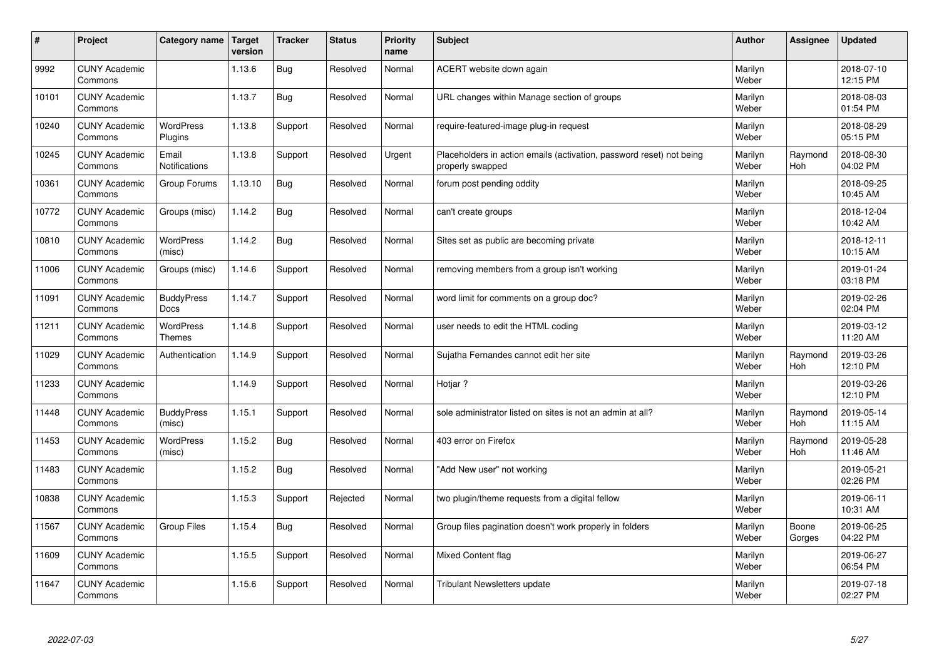| $\vert$ # | Project                         | Category name               | <b>Target</b><br>version | <b>Tracker</b> | <b>Status</b> | Priority<br>name | <b>Subject</b>                                                                           | <b>Author</b>    | Assignee        | <b>Updated</b>         |
|-----------|---------------------------------|-----------------------------|--------------------------|----------------|---------------|------------------|------------------------------------------------------------------------------------------|------------------|-----------------|------------------------|
| 9992      | <b>CUNY Academic</b><br>Commons |                             | 1.13.6                   | Bug            | Resolved      | Normal           | ACERT website down again                                                                 | Marilyn<br>Weber |                 | 2018-07-10<br>12:15 PM |
| 10101     | <b>CUNY Academic</b><br>Commons |                             | 1.13.7                   | Bug            | Resolved      | Normal           | URL changes within Manage section of groups                                              | Marilyn<br>Weber |                 | 2018-08-03<br>01:54 PM |
| 10240     | <b>CUNY Academic</b><br>Commons | <b>WordPress</b><br>Plugins | 1.13.8                   | Support        | Resolved      | Normal           | require-featured-image plug-in request                                                   | Marilyn<br>Weber |                 | 2018-08-29<br>05:15 PM |
| 10245     | <b>CUNY Academic</b><br>Commons | Email<br>Notifications      | 1.13.8                   | Support        | Resolved      | Urgent           | Placeholders in action emails (activation, password reset) not being<br>properly swapped | Marilyn<br>Weber | Raymond<br>Hoh  | 2018-08-30<br>04:02 PM |
| 10361     | <b>CUNY Academic</b><br>Commons | Group Forums                | 1.13.10                  | <b>Bug</b>     | Resolved      | Normal           | forum post pending oddity                                                                | Marilyn<br>Weber |                 | 2018-09-25<br>10:45 AM |
| 10772     | <b>CUNY Academic</b><br>Commons | Groups (misc)               | 1.14.2                   | Bug            | Resolved      | Normal           | can't create groups                                                                      | Marilyn<br>Weber |                 | 2018-12-04<br>10:42 AM |
| 10810     | <b>CUNY Academic</b><br>Commons | WordPress<br>(misc)         | 1.14.2                   | <b>Bug</b>     | Resolved      | Normal           | Sites set as public are becoming private                                                 | Marilyn<br>Weber |                 | 2018-12-11<br>10:15 AM |
| 11006     | <b>CUNY Academic</b><br>Commons | Groups (misc)               | 1.14.6                   | Support        | Resolved      | Normal           | removing members from a group isn't working                                              | Marilyn<br>Weber |                 | 2019-01-24<br>03:18 PM |
| 11091     | <b>CUNY Academic</b><br>Commons | <b>BuddyPress</b><br>Docs   | 1.14.7                   | Support        | Resolved      | Normal           | word limit for comments on a group doc?                                                  | Marilyn<br>Weber |                 | 2019-02-26<br>02:04 PM |
| 11211     | <b>CUNY Academic</b><br>Commons | WordPress<br>Themes         | 1.14.8                   | Support        | Resolved      | Normal           | user needs to edit the HTML coding                                                       | Marilyn<br>Weber |                 | 2019-03-12<br>11:20 AM |
| 11029     | <b>CUNY Academic</b><br>Commons | Authentication              | 1.14.9                   | Support        | Resolved      | Normal           | Sujatha Fernandes cannot edit her site                                                   | Marilyn<br>Weber | Raymond<br>Hoh  | 2019-03-26<br>12:10 PM |
| 11233     | <b>CUNY Academic</b><br>Commons |                             | 1.14.9                   | Support        | Resolved      | Normal           | Hotiar?                                                                                  | Marilyn<br>Weber |                 | 2019-03-26<br>12:10 PM |
| 11448     | <b>CUNY Academic</b><br>Commons | <b>BuddyPress</b><br>(misc) | 1.15.1                   | Support        | Resolved      | Normal           | sole administrator listed on sites is not an admin at all?                               | Marilyn<br>Weber | Raymond<br>Hoh  | 2019-05-14<br>11:15 AM |
| 11453     | <b>CUNY Academic</b><br>Commons | WordPress<br>(misc)         | 1.15.2                   | <b>Bug</b>     | Resolved      | Normal           | 403 error on Firefox                                                                     | Marilyn<br>Weber | Raymond<br>Hoh  | 2019-05-28<br>11:46 AM |
| 11483     | <b>CUNY Academic</b><br>Commons |                             | 1.15.2                   | <b>Bug</b>     | Resolved      | Normal           | "Add New user" not working                                                               | Marilyn<br>Weber |                 | 2019-05-21<br>02:26 PM |
| 10838     | <b>CUNY Academic</b><br>Commons |                             | 1.15.3                   | Support        | Rejected      | Normal           | two plugin/theme requests from a digital fellow                                          | Marilyn<br>Weber |                 | 2019-06-11<br>10:31 AM |
| 11567     | <b>CUNY Academic</b><br>Commons | <b>Group Files</b>          | 1.15.4                   | <b>Bug</b>     | Resolved      | Normal           | Group files pagination doesn't work properly in folders                                  | Marilyn<br>Weber | Boone<br>Gorges | 2019-06-25<br>04:22 PM |
| 11609     | <b>CUNY Academic</b><br>Commons |                             | 1.15.5                   | Support        | Resolved      | Normal           | Mixed Content flag                                                                       | Marilyn<br>Weber |                 | 2019-06-27<br>06:54 PM |
| 11647     | <b>CUNY Academic</b><br>Commons |                             | 1.15.6                   | Support        | Resolved      | Normal           | Tribulant Newsletters update                                                             | Marilyn<br>Weber |                 | 2019-07-18<br>02:27 PM |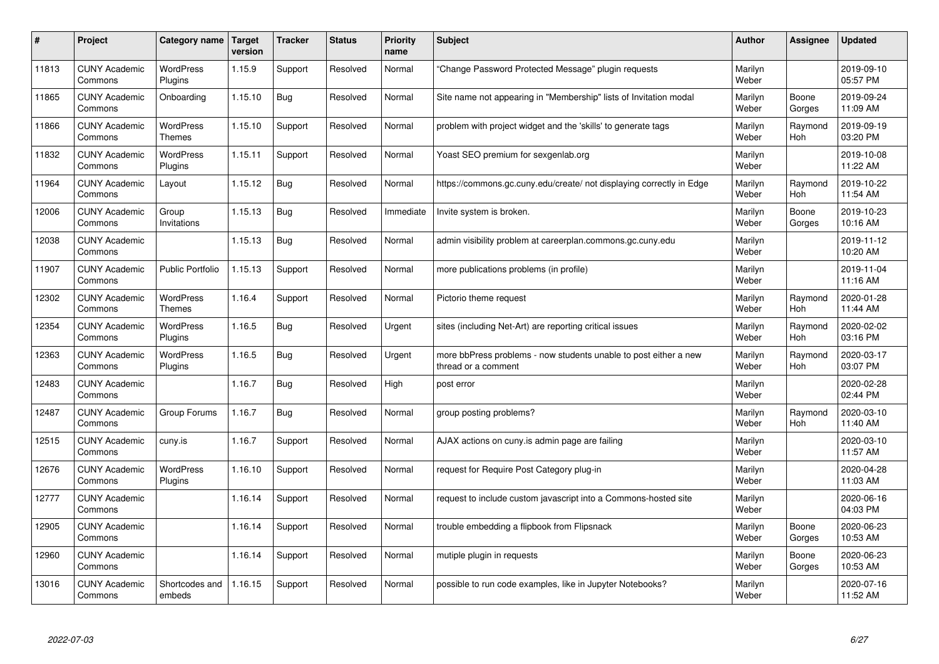| #     | Project                         | Category name                     | Target<br>version | <b>Tracker</b> | <b>Status</b> | <b>Priority</b><br>name | <b>Subject</b>                                                                          | <b>Author</b>    | Assignee              | <b>Updated</b>         |
|-------|---------------------------------|-----------------------------------|-------------------|----------------|---------------|-------------------------|-----------------------------------------------------------------------------------------|------------------|-----------------------|------------------------|
| 11813 | <b>CUNY Academic</b><br>Commons | <b>WordPress</b><br>Plugins       | 1.15.9            | Support        | Resolved      | Normal                  | "Change Password Protected Message" plugin requests                                     | Marilyn<br>Weber |                       | 2019-09-10<br>05:57 PM |
| 11865 | <b>CUNY Academic</b><br>Commons | Onboarding                        | 1.15.10           | <b>Bug</b>     | Resolved      | Normal                  | Site name not appearing in "Membership" lists of Invitation modal                       | Marilyn<br>Weber | Boone<br>Gorges       | 2019-09-24<br>11:09 AM |
| 11866 | <b>CUNY Academic</b><br>Commons | <b>WordPress</b><br><b>Themes</b> | 1.15.10           | Support        | Resolved      | Normal                  | problem with project widget and the 'skills' to generate tags                           | Marilyn<br>Weber | Raymond<br><b>Hoh</b> | 2019-09-19<br>03:20 PM |
| 11832 | <b>CUNY Academic</b><br>Commons | <b>WordPress</b><br>Plugins       | 1.15.11           | Support        | Resolved      | Normal                  | Yoast SEO premium for sexgenlab.org                                                     | Marilyn<br>Weber |                       | 2019-10-08<br>11:22 AM |
| 11964 | <b>CUNY Academic</b><br>Commons | Layout                            | 1.15.12           | <b>Bug</b>     | Resolved      | Normal                  | https://commons.gc.cuny.edu/create/ not displaying correctly in Edge                    | Marilyn<br>Weber | Raymond<br>Hoh        | 2019-10-22<br>11:54 AM |
| 12006 | <b>CUNY Academic</b><br>Commons | Group<br>Invitations              | 1.15.13           | Bug            | Resolved      | Immediate               | Invite system is broken.                                                                | Marilyn<br>Weber | Boone<br>Gorges       | 2019-10-23<br>10:16 AM |
| 12038 | <b>CUNY Academic</b><br>Commons |                                   | 1.15.13           | Bug            | Resolved      | Normal                  | admin visibility problem at careerplan.commons.gc.cuny.edu                              | Marilyn<br>Weber |                       | 2019-11-12<br>10:20 AM |
| 11907 | <b>CUNY Academic</b><br>Commons | <b>Public Portfolio</b>           | 1.15.13           | Support        | Resolved      | Normal                  | more publications problems (in profile)                                                 | Marilyn<br>Weber |                       | 2019-11-04<br>11:16 AM |
| 12302 | <b>CUNY Academic</b><br>Commons | <b>WordPress</b><br><b>Themes</b> | 1.16.4            | Support        | Resolved      | Normal                  | Pictorio theme request                                                                  | Marilyn<br>Weber | Raymond<br>Hoh        | 2020-01-28<br>11:44 AM |
| 12354 | <b>CUNY Academic</b><br>Commons | <b>WordPress</b><br>Plugins       | 1.16.5            | <b>Bug</b>     | Resolved      | Urgent                  | sites (including Net-Art) are reporting critical issues                                 | Marilyn<br>Weber | Raymond<br>Hoh        | 2020-02-02<br>03:16 PM |
| 12363 | <b>CUNY Academic</b><br>Commons | <b>WordPress</b><br>Plugins       | 1.16.5            | Bug            | Resolved      | Urgent                  | more bbPress problems - now students unable to post either a new<br>thread or a comment | Marilyn<br>Weber | Raymond<br><b>Hoh</b> | 2020-03-17<br>03:07 PM |
| 12483 | <b>CUNY Academic</b><br>Commons |                                   | 1.16.7            | <b>Bug</b>     | Resolved      | High                    | post error                                                                              | Marilyn<br>Weber |                       | 2020-02-28<br>02:44 PM |
| 12487 | <b>CUNY Academic</b><br>Commons | Group Forums                      | 1.16.7            | <b>Bug</b>     | Resolved      | Normal                  | group posting problems?                                                                 | Marilyn<br>Weber | Raymond<br><b>Hoh</b> | 2020-03-10<br>11:40 AM |
| 12515 | <b>CUNY Academic</b><br>Commons | cuny.is                           | 1.16.7            | Support        | Resolved      | Normal                  | AJAX actions on cuny.is admin page are failing                                          | Marilyn<br>Weber |                       | 2020-03-10<br>11:57 AM |
| 12676 | <b>CUNY Academic</b><br>Commons | WordPress<br>Plugins              | 1.16.10           | Support        | Resolved      | Normal                  | request for Require Post Category plug-in                                               | Marilyn<br>Weber |                       | 2020-04-28<br>11:03 AM |
| 12777 | <b>CUNY Academic</b><br>Commons |                                   | 1.16.14           | Support        | Resolved      | Normal                  | request to include custom javascript into a Commons-hosted site                         | Marilyn<br>Weber |                       | 2020-06-16<br>04:03 PM |
| 12905 | <b>CUNY Academic</b><br>Commons |                                   | 1.16.14           | Support        | Resolved      | Normal                  | trouble embedding a flipbook from Flipsnack                                             | Marilyn<br>Weber | Boone<br>Gorges       | 2020-06-23<br>10:53 AM |
| 12960 | <b>CUNY Academic</b><br>Commons |                                   | 1.16.14           | Support        | Resolved      | Normal                  | mutiple plugin in requests                                                              | Marilyn<br>Weber | Boone<br>Gorges       | 2020-06-23<br>10:53 AM |
| 13016 | <b>CUNY Academic</b><br>Commons | Shortcodes and<br>embeds          | 1.16.15           | Support        | Resolved      | Normal                  | possible to run code examples, like in Jupyter Notebooks?                               | Marilyn<br>Weber |                       | 2020-07-16<br>11:52 AM |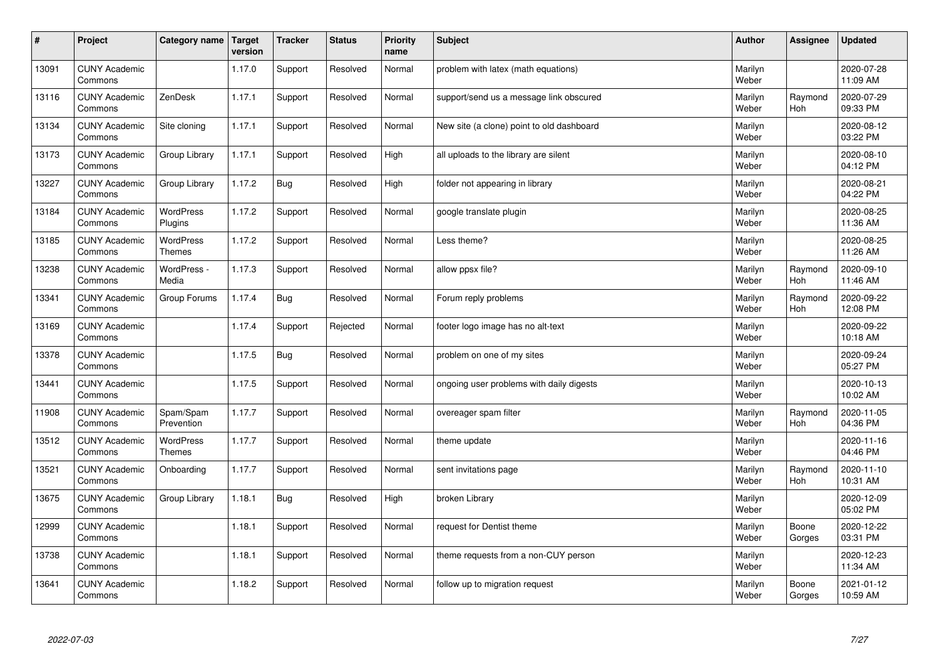| $\sharp$ | Project                         | Category name              | <b>Target</b><br>version | <b>Tracker</b> | <b>Status</b> | <b>Priority</b><br>name | <b>Subject</b>                            | <b>Author</b>    | Assignee        | <b>Updated</b>         |
|----------|---------------------------------|----------------------------|--------------------------|----------------|---------------|-------------------------|-------------------------------------------|------------------|-----------------|------------------------|
| 13091    | <b>CUNY Academic</b><br>Commons |                            | 1.17.0                   | Support        | Resolved      | Normal                  | problem with latex (math equations)       | Marilyn<br>Weber |                 | 2020-07-28<br>11:09 AM |
| 13116    | <b>CUNY Academic</b><br>Commons | ZenDesk                    | 1.17.1                   | Support        | Resolved      | Normal                  | support/send us a message link obscured   | Marilyn<br>Weber | Raymond<br>Hoh  | 2020-07-29<br>09:33 PM |
| 13134    | <b>CUNY Academic</b><br>Commons | Site cloning               | 1.17.1                   | Support        | Resolved      | Normal                  | New site (a clone) point to old dashboard | Marilyn<br>Weber |                 | 2020-08-12<br>03:22 PM |
| 13173    | <b>CUNY Academic</b><br>Commons | Group Library              | 1.17.1                   | Support        | Resolved      | High                    | all uploads to the library are silent     | Marilyn<br>Weber |                 | 2020-08-10<br>04:12 PM |
| 13227    | <b>CUNY Academic</b><br>Commons | Group Library              | 1.17.2                   | Bug            | Resolved      | High                    | folder not appearing in library           | Marilyn<br>Weber |                 | 2020-08-21<br>04:22 PM |
| 13184    | <b>CUNY Academic</b><br>Commons | WordPress<br>Plugins       | 1.17.2                   | Support        | Resolved      | Normal                  | google translate plugin                   | Marilyn<br>Weber |                 | 2020-08-25<br>11:36 AM |
| 13185    | <b>CUNY Academic</b><br>Commons | WordPress<br><b>Themes</b> | 1.17.2                   | Support        | Resolved      | Normal                  | Less theme?                               | Marilyn<br>Weber |                 | 2020-08-25<br>11:26 AM |
| 13238    | <b>CUNY Academic</b><br>Commons | WordPress -<br>Media       | 1.17.3                   | Support        | Resolved      | Normal                  | allow ppsx file?                          | Marilyn<br>Weber | Raymond<br>Hoh  | 2020-09-10<br>11:46 AM |
| 13341    | <b>CUNY Academic</b><br>Commons | Group Forums               | 1.17.4                   | <b>Bug</b>     | Resolved      | Normal                  | Forum reply problems                      | Marilyn<br>Weber | Raymond<br>Hoh  | 2020-09-22<br>12:08 PM |
| 13169    | <b>CUNY Academic</b><br>Commons |                            | 1.17.4                   | Support        | Rejected      | Normal                  | footer logo image has no alt-text         | Marilyn<br>Weber |                 | 2020-09-22<br>10:18 AM |
| 13378    | <b>CUNY Academic</b><br>Commons |                            | 1.17.5                   | <b>Bug</b>     | Resolved      | Normal                  | problem on one of my sites                | Marilyn<br>Weber |                 | 2020-09-24<br>05:27 PM |
| 13441    | <b>CUNY Academic</b><br>Commons |                            | 1.17.5                   | Support        | Resolved      | Normal                  | ongoing user problems with daily digests  | Marilyn<br>Weber |                 | 2020-10-13<br>10:02 AM |
| 11908    | <b>CUNY Academic</b><br>Commons | Spam/Spam<br>Prevention    | 1.17.7                   | Support        | Resolved      | Normal                  | overeager spam filter                     | Marilyn<br>Weber | Raymond<br>Hoh  | 2020-11-05<br>04:36 PM |
| 13512    | <b>CUNY Academic</b><br>Commons | <b>WordPress</b><br>Themes | 1.17.7                   | Support        | Resolved      | Normal                  | theme update                              | Marilyn<br>Weber |                 | 2020-11-16<br>04:46 PM |
| 13521    | <b>CUNY Academic</b><br>Commons | Onboarding                 | 1.17.7                   | Support        | Resolved      | Normal                  | sent invitations page                     | Marilyn<br>Weber | Raymond<br>Hoh  | 2020-11-10<br>10:31 AM |
| 13675    | <b>CUNY Academic</b><br>Commons | Group Library              | 1.18.1                   | <b>Bug</b>     | Resolved      | High                    | broken Library                            | Marilyn<br>Weber |                 | 2020-12-09<br>05:02 PM |
| 12999    | <b>CUNY Academic</b><br>Commons |                            | 1.18.1                   | Support        | Resolved      | Normal                  | request for Dentist theme                 | Marilyn<br>Weber | Boone<br>Gorges | 2020-12-22<br>03:31 PM |
| 13738    | <b>CUNY Academic</b><br>Commons |                            | 1.18.1                   | Support        | Resolved      | Normal                  | theme requests from a non-CUY person      | Marilyn<br>Weber |                 | 2020-12-23<br>11:34 AM |
| 13641    | <b>CUNY Academic</b><br>Commons |                            | 1.18.2                   | Support        | Resolved      | Normal                  | follow up to migration request            | Marilyn<br>Weber | Boone<br>Gorges | 2021-01-12<br>10:59 AM |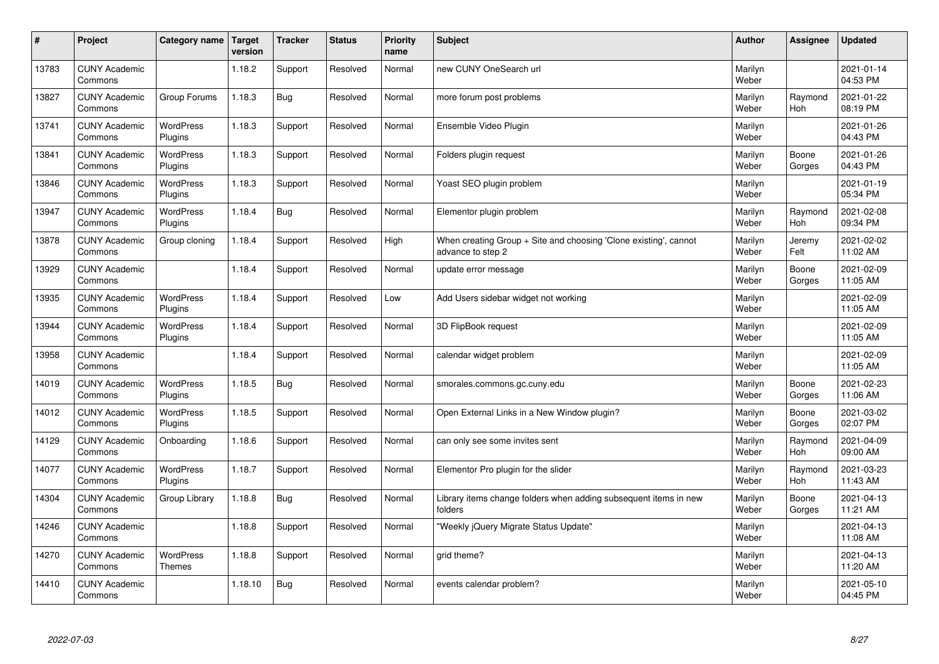| #     | Project                         | Category name               | <b>Target</b><br>version | <b>Tracker</b> | <b>Status</b> | <b>Priority</b><br>name | <b>Subject</b>                                                                        | <b>Author</b>    | Assignee              | <b>Updated</b>         |
|-------|---------------------------------|-----------------------------|--------------------------|----------------|---------------|-------------------------|---------------------------------------------------------------------------------------|------------------|-----------------------|------------------------|
| 13783 | <b>CUNY Academic</b><br>Commons |                             | 1.18.2                   | Support        | Resolved      | Normal                  | new CUNY OneSearch url                                                                | Marilyn<br>Weber |                       | 2021-01-14<br>04:53 PM |
| 13827 | <b>CUNY Academic</b><br>Commons | Group Forums                | 1.18.3                   | Bug            | Resolved      | Normal                  | more forum post problems                                                              | Marilyn<br>Weber | Raymond<br><b>Hoh</b> | 2021-01-22<br>08:19 PM |
| 13741 | <b>CUNY Academic</b><br>Commons | <b>WordPress</b><br>Plugins | 1.18.3                   | Support        | Resolved      | Normal                  | Ensemble Video Plugin                                                                 | Marilyn<br>Weber |                       | 2021-01-26<br>04:43 PM |
| 13841 | <b>CUNY Academic</b><br>Commons | <b>WordPress</b><br>Plugins | 1.18.3                   | Support        | Resolved      | Normal                  | Folders plugin request                                                                | Marilyn<br>Weber | Boone<br>Gorges       | 2021-01-26<br>04:43 PM |
| 13846 | <b>CUNY Academic</b><br>Commons | WordPress<br>Plugins        | 1.18.3                   | Support        | Resolved      | Normal                  | Yoast SEO plugin problem                                                              | Marilyn<br>Weber |                       | 2021-01-19<br>05:34 PM |
| 13947 | <b>CUNY Academic</b><br>Commons | <b>WordPress</b><br>Plugins | 1.18.4                   | <b>Bug</b>     | Resolved      | Normal                  | Elementor plugin problem                                                              | Marilyn<br>Weber | Raymond<br>Hoh        | 2021-02-08<br>09:34 PM |
| 13878 | <b>CUNY Academic</b><br>Commons | Group cloning               | 1.18.4                   | Support        | Resolved      | High                    | When creating Group + Site and choosing 'Clone existing', cannot<br>advance to step 2 | Marilyn<br>Weber | Jeremy<br>Felt        | 2021-02-02<br>11:02 AM |
| 13929 | <b>CUNY Academic</b><br>Commons |                             | 1.18.4                   | Support        | Resolved      | Normal                  | update error message                                                                  | Marilyn<br>Weber | Boone<br>Gorges       | 2021-02-09<br>11:05 AM |
| 13935 | <b>CUNY Academic</b><br>Commons | <b>WordPress</b><br>Plugins | 1.18.4                   | Support        | Resolved      | Low                     | Add Users sidebar widget not working                                                  | Marilyn<br>Weber |                       | 2021-02-09<br>11:05 AM |
| 13944 | <b>CUNY Academic</b><br>Commons | WordPress<br>Plugins        | 1.18.4                   | Support        | Resolved      | Normal                  | 3D FlipBook request                                                                   | Marilyn<br>Weber |                       | 2021-02-09<br>11:05 AM |
| 13958 | <b>CUNY Academic</b><br>Commons |                             | 1.18.4                   | Support        | Resolved      | Normal                  | calendar widget problem                                                               | Marilyn<br>Weber |                       | 2021-02-09<br>11:05 AM |
| 14019 | <b>CUNY Academic</b><br>Commons | WordPress<br>Plugins        | 1.18.5                   | Bug            | Resolved      | Normal                  | smorales.commons.gc.cuny.edu                                                          | Marilyn<br>Weber | Boone<br>Gorges       | 2021-02-23<br>11:06 AM |
| 14012 | <b>CUNY Academic</b><br>Commons | <b>WordPress</b><br>Plugins | 1.18.5                   | Support        | Resolved      | Normal                  | Open External Links in a New Window plugin?                                           | Marilyn<br>Weber | Boone<br>Gorges       | 2021-03-02<br>02:07 PM |
| 14129 | <b>CUNY Academic</b><br>Commons | Onboarding                  | 1.18.6                   | Support        | Resolved      | Normal                  | can only see some invites sent                                                        | Marilyn<br>Weber | Raymond<br><b>Hoh</b> | 2021-04-09<br>09:00 AM |
| 14077 | <b>CUNY Academic</b><br>Commons | WordPress<br>Plugins        | 1.18.7                   | Support        | Resolved      | Normal                  | Elementor Pro plugin for the slider                                                   | Marilyn<br>Weber | Raymond<br>Hoh        | 2021-03-23<br>11:43 AM |
| 14304 | <b>CUNY Academic</b><br>Commons | Group Library               | 1.18.8                   | Bug            | Resolved      | Normal                  | Library items change folders when adding subsequent items in new<br>folders           | Marilyn<br>Weber | Boone<br>Gorges       | 2021-04-13<br>11:21 AM |
| 14246 | <b>CUNY Academic</b><br>Commons |                             | 1.18.8                   | Support        | Resolved      | Normal                  | "Weekly jQuery Migrate Status Update"                                                 | Marilyn<br>Weber |                       | 2021-04-13<br>11:08 AM |
| 14270 | <b>CUNY Academic</b><br>Commons | WordPress<br>Themes         | 1.18.8                   | Support        | Resolved      | Normal                  | grid theme?                                                                           | Marilyn<br>Weber |                       | 2021-04-13<br>11:20 AM |
| 14410 | <b>CUNY Academic</b><br>Commons |                             | 1.18.10                  | Bug            | Resolved      | Normal                  | events calendar problem?                                                              | Marilyn<br>Weber |                       | 2021-05-10<br>04:45 PM |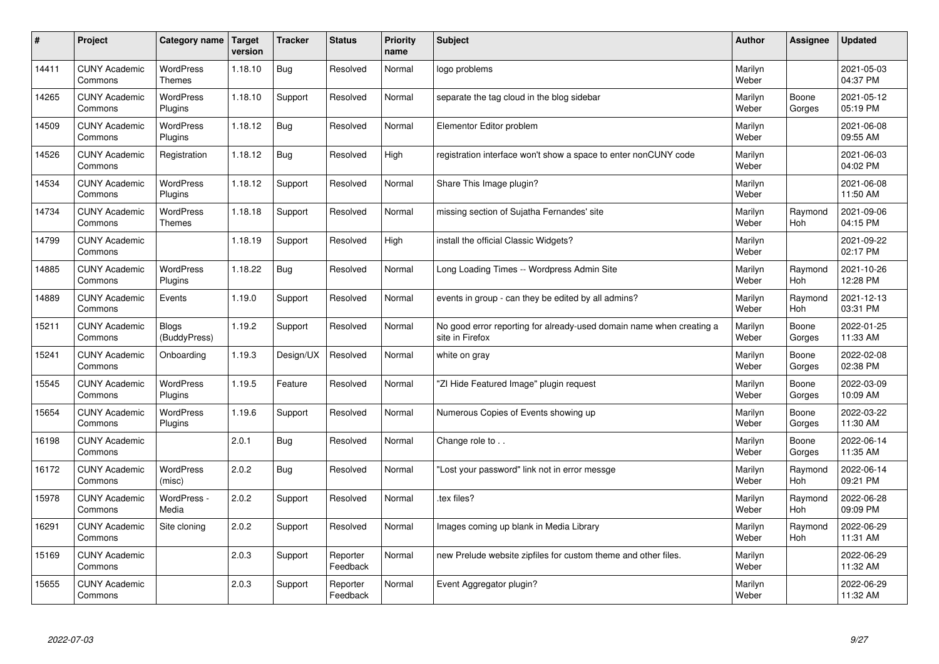| #     | Project                         | Category name                | <b>Target</b><br>version | <b>Tracker</b> | <b>Status</b>        | <b>Priority</b><br>name | <b>Subject</b>                                                                          | <b>Author</b>    | <b>Assignee</b> | <b>Updated</b>         |
|-------|---------------------------------|------------------------------|--------------------------|----------------|----------------------|-------------------------|-----------------------------------------------------------------------------------------|------------------|-----------------|------------------------|
| 14411 | <b>CUNY Academic</b><br>Commons | WordPress<br>Themes          | 1.18.10                  | Bug            | Resolved             | Normal                  | logo problems                                                                           | Marilyn<br>Weber |                 | 2021-05-03<br>04:37 PM |
| 14265 | <b>CUNY Academic</b><br>Commons | <b>WordPress</b><br>Plugins  | 1.18.10                  | Support        | Resolved             | Normal                  | separate the tag cloud in the blog sidebar                                              | Marilyn<br>Weber | Boone<br>Gorges | 2021-05-12<br>05:19 PM |
| 14509 | <b>CUNY Academic</b><br>Commons | <b>WordPress</b><br>Plugins  | 1.18.12                  | <b>Bug</b>     | Resolved             | Normal                  | Elementor Editor problem                                                                | Marilyn<br>Weber |                 | 2021-06-08<br>09:55 AM |
| 14526 | <b>CUNY Academic</b><br>Commons | Registration                 | 1.18.12                  | <b>Bug</b>     | Resolved             | High                    | registration interface won't show a space to enter nonCUNY code                         | Marilyn<br>Weber |                 | 2021-06-03<br>04:02 PM |
| 14534 | <b>CUNY Academic</b><br>Commons | <b>WordPress</b><br>Plugins  | 1.18.12                  | Support        | Resolved             | Normal                  | Share This Image plugin?                                                                | Marilyn<br>Weber |                 | 2021-06-08<br>11:50 AM |
| 14734 | <b>CUNY Academic</b><br>Commons | WordPress<br><b>Themes</b>   | 1.18.18                  | Support        | Resolved             | Normal                  | missing section of Sujatha Fernandes' site                                              | Marilyn<br>Weber | Raymond<br>Hoh  | 2021-09-06<br>04:15 PM |
| 14799 | <b>CUNY Academic</b><br>Commons |                              | 1.18.19                  | Support        | Resolved             | High                    | install the official Classic Widgets?                                                   | Marilyn<br>Weber |                 | 2021-09-22<br>02:17 PM |
| 14885 | <b>CUNY Academic</b><br>Commons | <b>WordPress</b><br>Plugins  | 1.18.22                  | <b>Bug</b>     | Resolved             | Normal                  | Long Loading Times -- Wordpress Admin Site                                              | Marilyn<br>Weber | Raymond<br>Hoh  | 2021-10-26<br>12:28 PM |
| 14889 | <b>CUNY Academic</b><br>Commons | Events                       | 1.19.0                   | Support        | Resolved             | Normal                  | events in group - can they be edited by all admins?                                     | Marilyn<br>Weber | Raymond<br>Hoh  | 2021-12-13<br>03:31 PM |
| 15211 | <b>CUNY Academic</b><br>Commons | <b>Blogs</b><br>(BuddyPress) | 1.19.2                   | Support        | Resolved             | Normal                  | No good error reporting for already-used domain name when creating a<br>site in Firefox | Marilyn<br>Weber | Boone<br>Gorges | 2022-01-25<br>11:33 AM |
| 15241 | <b>CUNY Academic</b><br>Commons | Onboarding                   | 1.19.3                   | Design/UX      | Resolved             | Normal                  | white on gray                                                                           | Marilyn<br>Weber | Boone<br>Gorges | 2022-02-08<br>02:38 PM |
| 15545 | <b>CUNY Academic</b><br>Commons | WordPress<br>Plugins         | 1.19.5                   | Feature        | Resolved             | Normal                  | "ZI Hide Featured Image" plugin request                                                 | Marilyn<br>Weber | Boone<br>Gorges | 2022-03-09<br>10:09 AM |
| 15654 | <b>CUNY Academic</b><br>Commons | WordPress<br>Plugins         | 1.19.6                   | Support        | Resolved             | Normal                  | Numerous Copies of Events showing up                                                    | Marilyn<br>Weber | Boone<br>Gorges | 2022-03-22<br>11:30 AM |
| 16198 | <b>CUNY Academic</b><br>Commons |                              | 2.0.1                    | <b>Bug</b>     | Resolved             | Normal                  | Change role to                                                                          | Marilyn<br>Weber | Boone<br>Gorges | 2022-06-14<br>11:35 AM |
| 16172 | <b>CUNY Academic</b><br>Commons | WordPress<br>(misc)          | 2.0.2                    | <b>Bug</b>     | Resolved             | Normal                  | "Lost your password" link not in error messge                                           | Marilyn<br>Weber | Raymond<br>Hoh  | 2022-06-14<br>09:21 PM |
| 15978 | <b>CUNY Academic</b><br>Commons | WordPress -<br>Media         | 2.0.2                    | Support        | Resolved             | Normal                  | tex files?                                                                              | Marilyn<br>Weber | Raymond<br>Hoh  | 2022-06-28<br>09:09 PM |
| 16291 | <b>CUNY Academic</b><br>Commons | Site cloning                 | 2.0.2                    | Support        | Resolved             | Normal                  | Images coming up blank in Media Library                                                 | Marilyn<br>Weber | Raymond<br>Hoh  | 2022-06-29<br>11:31 AM |
| 15169 | <b>CUNY Academic</b><br>Commons |                              | 2.0.3                    | Support        | Reporter<br>Feedback | Normal                  | new Prelude website zipfiles for custom theme and other files.                          | Marilyn<br>Weber |                 | 2022-06-29<br>11:32 AM |
| 15655 | <b>CUNY Academic</b><br>Commons |                              | 2.0.3                    | Support        | Reporter<br>Feedback | Normal                  | Event Aggregator plugin?                                                                | Marilyn<br>Weber |                 | 2022-06-29<br>11:32 AM |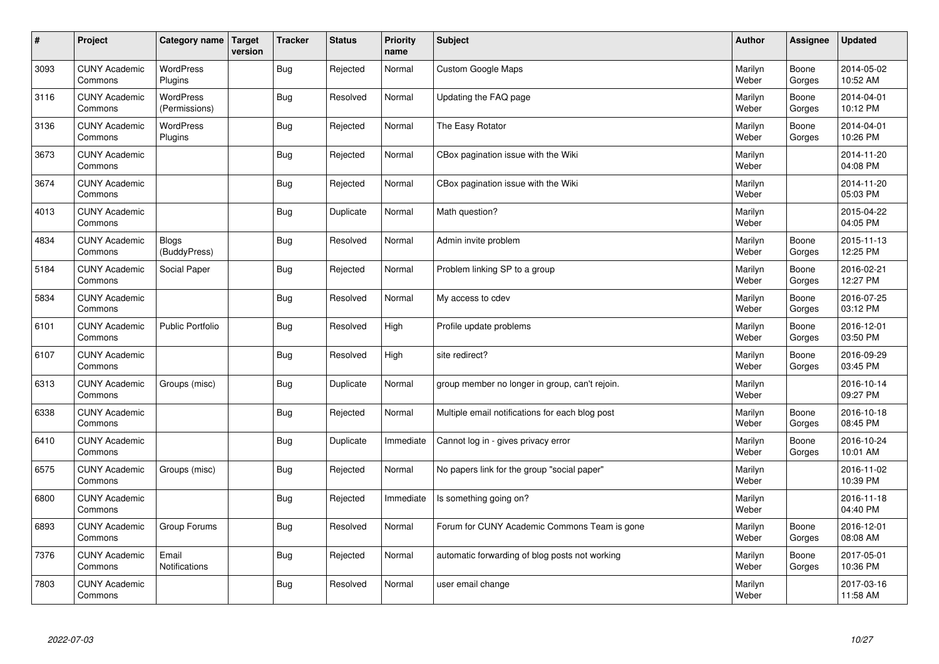| $\vert$ # | Project                         | Category name                | Target<br>version | <b>Tracker</b> | <b>Status</b> | <b>Priority</b><br>name | <b>Subject</b>                                  | <b>Author</b>    | Assignee        | <b>Updated</b>         |
|-----------|---------------------------------|------------------------------|-------------------|----------------|---------------|-------------------------|-------------------------------------------------|------------------|-----------------|------------------------|
| 3093      | <b>CUNY Academic</b><br>Commons | <b>WordPress</b><br>Plugins  |                   | <b>Bug</b>     | Rejected      | Normal                  | <b>Custom Google Maps</b>                       | Marilyn<br>Weber | Boone<br>Gorges | 2014-05-02<br>10:52 AM |
| 3116      | <b>CUNY Academic</b><br>Commons | WordPress<br>(Permissions)   |                   | <b>Bug</b>     | Resolved      | Normal                  | Updating the FAQ page                           | Marilyn<br>Weber | Boone<br>Gorges | 2014-04-01<br>10:12 PM |
| 3136      | <b>CUNY Academic</b><br>Commons | <b>WordPress</b><br>Plugins  |                   | Bug            | Rejected      | Normal                  | The Easy Rotator                                | Marilyn<br>Weber | Boone<br>Gorges | 2014-04-01<br>10:26 PM |
| 3673      | <b>CUNY Academic</b><br>Commons |                              |                   | <b>Bug</b>     | Rejected      | Normal                  | CBox pagination issue with the Wiki             | Marilyn<br>Weber |                 | 2014-11-20<br>04:08 PM |
| 3674      | <b>CUNY Academic</b><br>Commons |                              |                   | <b>Bug</b>     | Rejected      | Normal                  | CBox pagination issue with the Wiki             | Marilyn<br>Weber |                 | 2014-11-20<br>05:03 PM |
| 4013      | <b>CUNY Academic</b><br>Commons |                              |                   | <b>Bug</b>     | Duplicate     | Normal                  | Math question?                                  | Marilyn<br>Weber |                 | 2015-04-22<br>04:05 PM |
| 4834      | <b>CUNY Academic</b><br>Commons | <b>Blogs</b><br>(BuddyPress) |                   | Bug            | Resolved      | Normal                  | Admin invite problem                            | Marilyn<br>Weber | Boone<br>Gorges | 2015-11-13<br>12:25 PM |
| 5184      | <b>CUNY Academic</b><br>Commons | Social Paper                 |                   | <b>Bug</b>     | Rejected      | Normal                  | Problem linking SP to a group                   | Marilyn<br>Weber | Boone<br>Gorges | 2016-02-21<br>12:27 PM |
| 5834      | <b>CUNY Academic</b><br>Commons |                              |                   | <b>Bug</b>     | Resolved      | Normal                  | My access to cdev                               | Marilyn<br>Weber | Boone<br>Gorges | 2016-07-25<br>03:12 PM |
| 6101      | <b>CUNY Academic</b><br>Commons | <b>Public Portfolio</b>      |                   | <b>Bug</b>     | Resolved      | High                    | Profile update problems                         | Marilyn<br>Weber | Boone<br>Gorges | 2016-12-01<br>03:50 PM |
| 6107      | <b>CUNY Academic</b><br>Commons |                              |                   | Bug            | Resolved      | High                    | site redirect?                                  | Marilyn<br>Weber | Boone<br>Gorges | 2016-09-29<br>03:45 PM |
| 6313      | <b>CUNY Academic</b><br>Commons | Groups (misc)                |                   | <b>Bug</b>     | Duplicate     | Normal                  | group member no longer in group, can't rejoin.  | Marilyn<br>Weber |                 | 2016-10-14<br>09:27 PM |
| 6338      | <b>CUNY Academic</b><br>Commons |                              |                   | <b>Bug</b>     | Rejected      | Normal                  | Multiple email notifications for each blog post | Marilyn<br>Weber | Boone<br>Gorges | 2016-10-18<br>08:45 PM |
| 6410      | <b>CUNY Academic</b><br>Commons |                              |                   | <b>Bug</b>     | Duplicate     | Immediate               | Cannot log in - gives privacy error             | Marilyn<br>Weber | Boone<br>Gorges | 2016-10-24<br>10:01 AM |
| 6575      | <b>CUNY Academic</b><br>Commons | Groups (misc)                |                   | Bug            | Rejected      | Normal                  | No papers link for the group "social paper"     | Marilyn<br>Weber |                 | 2016-11-02<br>10:39 PM |
| 6800      | <b>CUNY Academic</b><br>Commons |                              |                   | <b>Bug</b>     | Rejected      | Immediate               | Is something going on?                          | Marilyn<br>Weber |                 | 2016-11-18<br>04:40 PM |
| 6893      | <b>CUNY Academic</b><br>Commons | Group Forums                 |                   | <b>Bug</b>     | Resolved      | Normal                  | Forum for CUNY Academic Commons Team is gone    | Marilyn<br>Weber | Boone<br>Gorges | 2016-12-01<br>08:08 AM |
| 7376      | <b>CUNY Academic</b><br>Commons | Email<br>Notifications       |                   | Bug            | Rejected      | Normal                  | automatic forwarding of blog posts not working  | Marilyn<br>Weber | Boone<br>Gorges | 2017-05-01<br>10:36 PM |
| 7803      | <b>CUNY Academic</b><br>Commons |                              |                   | Bug            | Resolved      | Normal                  | user email change                               | Marilyn<br>Weber |                 | 2017-03-16<br>11:58 AM |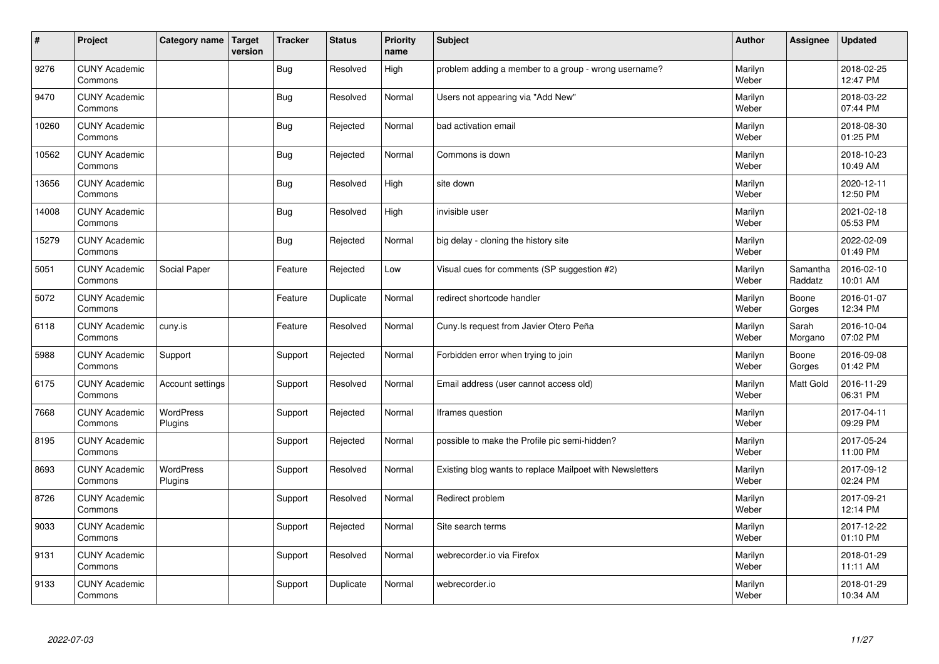| $\vert$ # | Project                         | Category name        | Target<br>version | <b>Tracker</b> | <b>Status</b> | <b>Priority</b><br>name | <b>Subject</b>                                           | Author           | Assignee            | <b>Updated</b>         |
|-----------|---------------------------------|----------------------|-------------------|----------------|---------------|-------------------------|----------------------------------------------------------|------------------|---------------------|------------------------|
| 9276      | <b>CUNY Academic</b><br>Commons |                      |                   | <b>Bug</b>     | Resolved      | High                    | problem adding a member to a group - wrong username?     | Marilyn<br>Weber |                     | 2018-02-25<br>12:47 PM |
| 9470      | <b>CUNY Academic</b><br>Commons |                      |                   | <b>Bug</b>     | Resolved      | Normal                  | Users not appearing via "Add New"                        | Marilyn<br>Weber |                     | 2018-03-22<br>07:44 PM |
| 10260     | <b>CUNY Academic</b><br>Commons |                      |                   | Bug            | Rejected      | Normal                  | bad activation email                                     | Marilyn<br>Weber |                     | 2018-08-30<br>01:25 PM |
| 10562     | <b>CUNY Academic</b><br>Commons |                      |                   | Bug            | Rejected      | Normal                  | Commons is down                                          | Marilyn<br>Weber |                     | 2018-10-23<br>10:49 AM |
| 13656     | <b>CUNY Academic</b><br>Commons |                      |                   | Bug            | Resolved      | High                    | site down                                                | Marilyn<br>Weber |                     | 2020-12-11<br>12:50 PM |
| 14008     | <b>CUNY Academic</b><br>Commons |                      |                   | Bug            | Resolved      | High                    | invisible user                                           | Marilyn<br>Weber |                     | 2021-02-18<br>05:53 PM |
| 15279     | <b>CUNY Academic</b><br>Commons |                      |                   | Bug            | Rejected      | Normal                  | big delay - cloning the history site                     | Marilyn<br>Weber |                     | 2022-02-09<br>01:49 PM |
| 5051      | <b>CUNY Academic</b><br>Commons | Social Paper         |                   | Feature        | Rejected      | Low                     | Visual cues for comments (SP suggestion #2)              | Marilyn<br>Weber | Samantha<br>Raddatz | 2016-02-10<br>10:01 AM |
| 5072      | <b>CUNY Academic</b><br>Commons |                      |                   | Feature        | Duplicate     | Normal                  | redirect shortcode handler                               | Marilyn<br>Weber | Boone<br>Gorges     | 2016-01-07<br>12:34 PM |
| 6118      | <b>CUNY Academic</b><br>Commons | cuny.is              |                   | Feature        | Resolved      | Normal                  | Cuny.Is request from Javier Otero Peña                   | Marilyn<br>Weber | Sarah<br>Morgano    | 2016-10-04<br>07:02 PM |
| 5988      | <b>CUNY Academic</b><br>Commons | Support              |                   | Support        | Rejected      | Normal                  | Forbidden error when trying to join                      | Marilyn<br>Weber | Boone<br>Gorges     | 2016-09-08<br>01:42 PM |
| 6175      | <b>CUNY Academic</b><br>Commons | Account settings     |                   | Support        | Resolved      | Normal                  | Email address (user cannot access old)                   | Marilyn<br>Weber | Matt Gold           | 2016-11-29<br>06:31 PM |
| 7668      | <b>CUNY Academic</b><br>Commons | WordPress<br>Plugins |                   | Support        | Rejected      | Normal                  | Iframes question                                         | Marilyn<br>Weber |                     | 2017-04-11<br>09:29 PM |
| 8195      | <b>CUNY Academic</b><br>Commons |                      |                   | Support        | Rejected      | Normal                  | possible to make the Profile pic semi-hidden?            | Marilyn<br>Weber |                     | 2017-05-24<br>11:00 PM |
| 8693      | <b>CUNY Academic</b><br>Commons | WordPress<br>Plugins |                   | Support        | Resolved      | Normal                  | Existing blog wants to replace Mailpoet with Newsletters | Marilyn<br>Weber |                     | 2017-09-12<br>02:24 PM |
| 8726      | <b>CUNY Academic</b><br>Commons |                      |                   | Support        | Resolved      | Normal                  | Redirect problem                                         | Marilyn<br>Weber |                     | 2017-09-21<br>12:14 PM |
| 9033      | <b>CUNY Academic</b><br>Commons |                      |                   | Support        | Rejected      | Normal                  | Site search terms                                        | Marilyn<br>Weber |                     | 2017-12-22<br>01:10 PM |
| 9131      | <b>CUNY Academic</b><br>Commons |                      |                   | Support        | Resolved      | Normal                  | webrecorder.io via Firefox                               | Marilyn<br>Weber |                     | 2018-01-29<br>11:11 AM |
| 9133      | <b>CUNY Academic</b><br>Commons |                      |                   | Support        | Duplicate     | Normal                  | webrecorder.io                                           | Marilyn<br>Weber |                     | 2018-01-29<br>10:34 AM |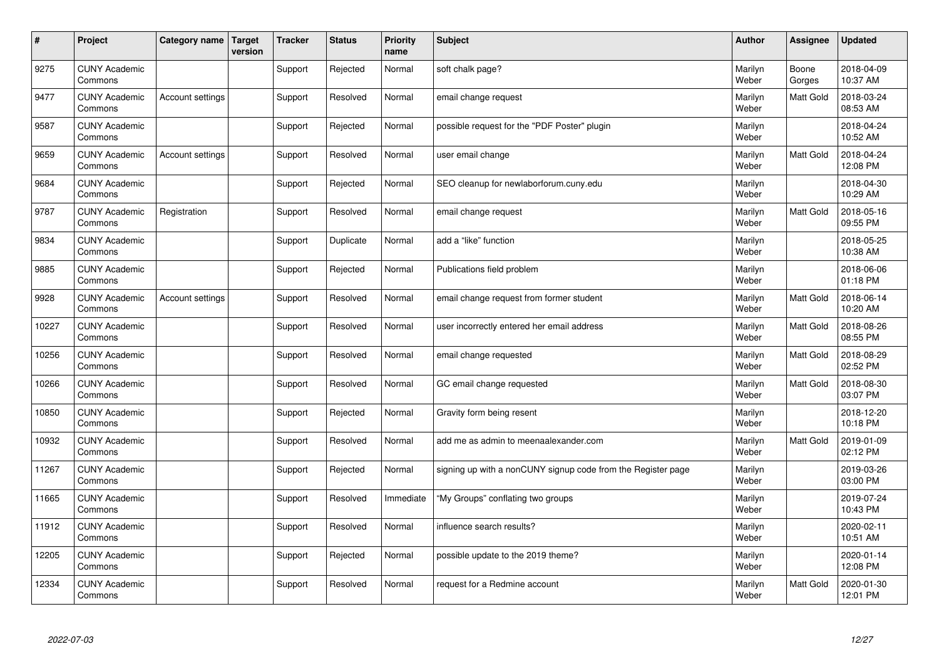| $\vert$ # | Project                         | Category name           | <b>Target</b><br>version | <b>Tracker</b> | <b>Status</b> | <b>Priority</b><br>name | <b>Subject</b>                                               | <b>Author</b>    | Assignee        | <b>Updated</b>         |
|-----------|---------------------------------|-------------------------|--------------------------|----------------|---------------|-------------------------|--------------------------------------------------------------|------------------|-----------------|------------------------|
| 9275      | <b>CUNY Academic</b><br>Commons |                         |                          | Support        | Rejected      | Normal                  | soft chalk page?                                             | Marilyn<br>Weber | Boone<br>Gorges | 2018-04-09<br>10:37 AM |
| 9477      | <b>CUNY Academic</b><br>Commons | Account settings        |                          | Support        | Resolved      | Normal                  | email change request                                         | Marilyn<br>Weber | Matt Gold       | 2018-03-24<br>08:53 AM |
| 9587      | <b>CUNY Academic</b><br>Commons |                         |                          | Support        | Rejected      | Normal                  | possible request for the "PDF Poster" plugin                 | Marilyn<br>Weber |                 | 2018-04-24<br>10:52 AM |
| 9659      | <b>CUNY Academic</b><br>Commons | Account settings        |                          | Support        | Resolved      | Normal                  | user email change                                            | Marilyn<br>Weber | Matt Gold       | 2018-04-24<br>12:08 PM |
| 9684      | <b>CUNY Academic</b><br>Commons |                         |                          | Support        | Rejected      | Normal                  | SEO cleanup for newlaborforum.cuny.edu                       | Marilyn<br>Weber |                 | 2018-04-30<br>10:29 AM |
| 9787      | <b>CUNY Academic</b><br>Commons | Registration            |                          | Support        | Resolved      | Normal                  | email change request                                         | Marilyn<br>Weber | Matt Gold       | 2018-05-16<br>09:55 PM |
| 9834      | <b>CUNY Academic</b><br>Commons |                         |                          | Support        | Duplicate     | Normal                  | add a "like" function                                        | Marilyn<br>Weber |                 | 2018-05-25<br>10:38 AM |
| 9885      | <b>CUNY Academic</b><br>Commons |                         |                          | Support        | Rejected      | Normal                  | Publications field problem                                   | Marilyn<br>Weber |                 | 2018-06-06<br>01:18 PM |
| 9928      | <b>CUNY Academic</b><br>Commons | <b>Account settings</b> |                          | Support        | Resolved      | Normal                  | email change request from former student                     | Marilyn<br>Weber | Matt Gold       | 2018-06-14<br>10:20 AM |
| 10227     | <b>CUNY Academic</b><br>Commons |                         |                          | Support        | Resolved      | Normal                  | user incorrectly entered her email address                   | Marilyn<br>Weber | Matt Gold       | 2018-08-26<br>08:55 PM |
| 10256     | <b>CUNY Academic</b><br>Commons |                         |                          | Support        | Resolved      | Normal                  | email change requested                                       | Marilyn<br>Weber | Matt Gold       | 2018-08-29<br>02:52 PM |
| 10266     | <b>CUNY Academic</b><br>Commons |                         |                          | Support        | Resolved      | Normal                  | GC email change requested                                    | Marilyn<br>Weber | Matt Gold       | 2018-08-30<br>03:07 PM |
| 10850     | <b>CUNY Academic</b><br>Commons |                         |                          | Support        | Rejected      | Normal                  | Gravity form being resent                                    | Marilyn<br>Weber |                 | 2018-12-20<br>10:18 PM |
| 10932     | <b>CUNY Academic</b><br>Commons |                         |                          | Support        | Resolved      | Normal                  | add me as admin to meenaalexander.com                        | Marilyn<br>Weber | Matt Gold       | 2019-01-09<br>02:12 PM |
| 11267     | <b>CUNY Academic</b><br>Commons |                         |                          | Support        | Rejected      | Normal                  | signing up with a nonCUNY signup code from the Register page | Marilyn<br>Weber |                 | 2019-03-26<br>03:00 PM |
| 11665     | <b>CUNY Academic</b><br>Commons |                         |                          | Support        | Resolved      | Immediate               | "My Groups" conflating two groups                            | Marilyn<br>Weber |                 | 2019-07-24<br>10:43 PM |
| 11912     | <b>CUNY Academic</b><br>Commons |                         |                          | Support        | Resolved      | Normal                  | influence search results?                                    | Marilyn<br>Weber |                 | 2020-02-11<br>10:51 AM |
| 12205     | <b>CUNY Academic</b><br>Commons |                         |                          | Support        | Rejected      | Normal                  | possible update to the 2019 theme?                           | Marilyn<br>Weber |                 | 2020-01-14<br>12:08 PM |
| 12334     | <b>CUNY Academic</b><br>Commons |                         |                          | Support        | Resolved      | Normal                  | request for a Redmine account                                | Marilyn<br>Weber | Matt Gold       | 2020-01-30<br>12:01 PM |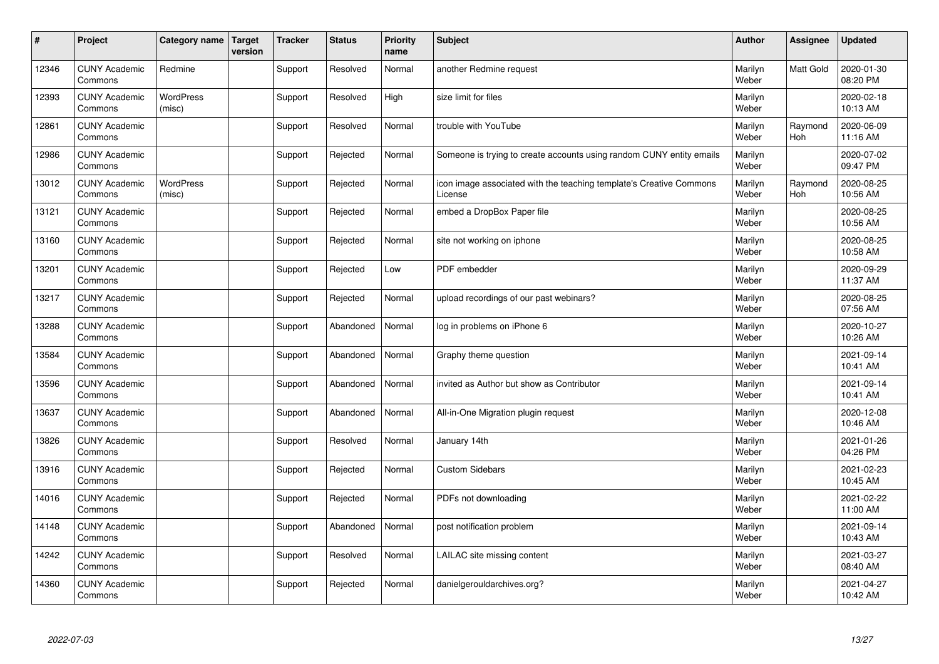| $\sharp$ | Project                         | Category name              | <b>Target</b><br>version | <b>Tracker</b> | <b>Status</b> | Priority<br>name | <b>Subject</b>                                                                 | <b>Author</b>    | Assignee       | <b>Updated</b>         |
|----------|---------------------------------|----------------------------|--------------------------|----------------|---------------|------------------|--------------------------------------------------------------------------------|------------------|----------------|------------------------|
| 12346    | <b>CUNY Academic</b><br>Commons | Redmine                    |                          | Support        | Resolved      | Normal           | another Redmine request                                                        | Marilyn<br>Weber | Matt Gold      | 2020-01-30<br>08:20 PM |
| 12393    | <b>CUNY Academic</b><br>Commons | <b>WordPress</b><br>(misc) |                          | Support        | Resolved      | High             | size limit for files                                                           | Marilyn<br>Weber |                | 2020-02-18<br>10:13 AM |
| 12861    | <b>CUNY Academic</b><br>Commons |                            |                          | Support        | Resolved      | Normal           | trouble with YouTube                                                           | Marilyn<br>Weber | Raymond<br>Hoh | 2020-06-09<br>11:16 AM |
| 12986    | <b>CUNY Academic</b><br>Commons |                            |                          | Support        | Rejected      | Normal           | Someone is trying to create accounts using random CUNY entity emails           | Marilyn<br>Weber |                | 2020-07-02<br>09:47 PM |
| 13012    | <b>CUNY Academic</b><br>Commons | <b>WordPress</b><br>(misc) |                          | Support        | Rejected      | Normal           | icon image associated with the teaching template's Creative Commons<br>License | Marilyn<br>Weber | Raymond<br>Hoh | 2020-08-25<br>10:56 AM |
| 13121    | <b>CUNY Academic</b><br>Commons |                            |                          | Support        | Rejected      | Normal           | embed a DropBox Paper file                                                     | Marilyn<br>Weber |                | 2020-08-25<br>10:56 AM |
| 13160    | <b>CUNY Academic</b><br>Commons |                            |                          | Support        | Rejected      | Normal           | site not working on iphone                                                     | Marilyn<br>Weber |                | 2020-08-25<br>10:58 AM |
| 13201    | <b>CUNY Academic</b><br>Commons |                            |                          | Support        | Rejected      | Low              | PDF embedder                                                                   | Marilyn<br>Weber |                | 2020-09-29<br>11:37 AM |
| 13217    | <b>CUNY Academic</b><br>Commons |                            |                          | Support        | Rejected      | Normal           | upload recordings of our past webinars?                                        | Marilyn<br>Weber |                | 2020-08-25<br>07:56 AM |
| 13288    | <b>CUNY Academic</b><br>Commons |                            |                          | Support        | Abandoned     | Normal           | log in problems on iPhone 6                                                    | Marilyn<br>Weber |                | 2020-10-27<br>10:26 AM |
| 13584    | <b>CUNY Academic</b><br>Commons |                            |                          | Support        | Abandoned     | Normal           | Graphy theme question                                                          | Marilyn<br>Weber |                | 2021-09-14<br>10:41 AM |
| 13596    | <b>CUNY Academic</b><br>Commons |                            |                          | Support        | Abandoned     | Normal           | invited as Author but show as Contributor                                      | Marilyn<br>Weber |                | 2021-09-14<br>10:41 AM |
| 13637    | <b>CUNY Academic</b><br>Commons |                            |                          | Support        | Abandoned     | Normal           | All-in-One Migration plugin request                                            | Marilyn<br>Weber |                | 2020-12-08<br>10:46 AM |
| 13826    | <b>CUNY Academic</b><br>Commons |                            |                          | Support        | Resolved      | Normal           | January 14th                                                                   | Marilyn<br>Weber |                | 2021-01-26<br>04:26 PM |
| 13916    | <b>CUNY Academic</b><br>Commons |                            |                          | Support        | Rejected      | Normal           | <b>Custom Sidebars</b>                                                         | Marilyn<br>Weber |                | 2021-02-23<br>10:45 AM |
| 14016    | <b>CUNY Academic</b><br>Commons |                            |                          | Support        | Rejected      | Normal           | PDFs not downloading                                                           | Marilyn<br>Weber |                | 2021-02-22<br>11:00 AM |
| 14148    | <b>CUNY Academic</b><br>Commons |                            |                          | Support        | Abandoned     | Normal           | post notification problem                                                      | Marilyn<br>Weber |                | 2021-09-14<br>10:43 AM |
| 14242    | <b>CUNY Academic</b><br>Commons |                            |                          | Support        | Resolved      | Normal           | LAILAC site missing content                                                    | Marilyn<br>Weber |                | 2021-03-27<br>08:40 AM |
| 14360    | <b>CUNY Academic</b><br>Commons |                            |                          | Support        | Rejected      | Normal           | danielgerouldarchives.org?                                                     | Marilyn<br>Weber |                | 2021-04-27<br>10:42 AM |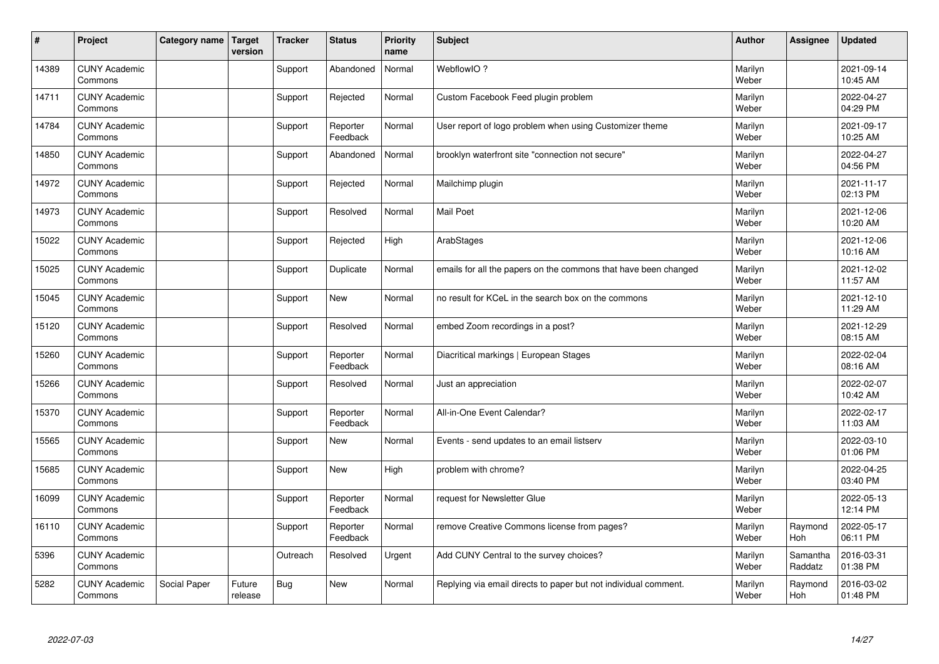| #     | Project                         | Category name | <b>Target</b><br>version | <b>Tracker</b> | <b>Status</b>        | <b>Priority</b><br>name | <b>Subject</b>                                                  | <b>Author</b>    | Assignee            | <b>Updated</b>         |
|-------|---------------------------------|---------------|--------------------------|----------------|----------------------|-------------------------|-----------------------------------------------------------------|------------------|---------------------|------------------------|
| 14389 | <b>CUNY Academic</b><br>Commons |               |                          | Support        | Abandoned            | Normal                  | WebflowIO?                                                      | Marilyn<br>Weber |                     | 2021-09-14<br>10:45 AM |
| 14711 | <b>CUNY Academic</b><br>Commons |               |                          | Support        | Rejected             | Normal                  | Custom Facebook Feed plugin problem                             | Marilyn<br>Weber |                     | 2022-04-27<br>04:29 PM |
| 14784 | <b>CUNY Academic</b><br>Commons |               |                          | Support        | Reporter<br>Feedback | Normal                  | User report of logo problem when using Customizer theme         | Marilyn<br>Weber |                     | 2021-09-17<br>10:25 AM |
| 14850 | <b>CUNY Academic</b><br>Commons |               |                          | Support        | Abandoned            | Normal                  | brooklyn waterfront site "connection not secure"                | Marilyn<br>Weber |                     | 2022-04-27<br>04:56 PM |
| 14972 | <b>CUNY Academic</b><br>Commons |               |                          | Support        | Rejected             | Normal                  | Mailchimp plugin                                                | Marilyn<br>Weber |                     | 2021-11-17<br>02:13 PM |
| 14973 | <b>CUNY Academic</b><br>Commons |               |                          | Support        | Resolved             | Normal                  | <b>Mail Poet</b>                                                | Marilyn<br>Weber |                     | 2021-12-06<br>10:20 AM |
| 15022 | <b>CUNY Academic</b><br>Commons |               |                          | Support        | Rejected             | High                    | ArabStages                                                      | Marilyn<br>Weber |                     | 2021-12-06<br>10:16 AM |
| 15025 | <b>CUNY Academic</b><br>Commons |               |                          | Support        | Duplicate            | Normal                  | emails for all the papers on the commons that have been changed | Marilyn<br>Weber |                     | 2021-12-02<br>11:57 AM |
| 15045 | <b>CUNY Academic</b><br>Commons |               |                          | Support        | <b>New</b>           | Normal                  | no result for KCeL in the search box on the commons             | Marilyn<br>Weber |                     | 2021-12-10<br>11:29 AM |
| 15120 | <b>CUNY Academic</b><br>Commons |               |                          | Support        | Resolved             | Normal                  | embed Zoom recordings in a post?                                | Marilyn<br>Weber |                     | 2021-12-29<br>08:15 AM |
| 15260 | <b>CUNY Academic</b><br>Commons |               |                          | Support        | Reporter<br>Feedback | Normal                  | Diacritical markings   European Stages                          | Marilyn<br>Weber |                     | 2022-02-04<br>08:16 AM |
| 15266 | <b>CUNY Academic</b><br>Commons |               |                          | Support        | Resolved             | Normal                  | Just an appreciation                                            | Marilyn<br>Weber |                     | 2022-02-07<br>10:42 AM |
| 15370 | <b>CUNY Academic</b><br>Commons |               |                          | Support        | Reporter<br>Feedback | Normal                  | All-in-One Event Calendar?                                      | Marilyn<br>Weber |                     | 2022-02-17<br>11:03 AM |
| 15565 | <b>CUNY Academic</b><br>Commons |               |                          | Support        | <b>New</b>           | Normal                  | Events - send updates to an email listserv                      | Marilyn<br>Weber |                     | 2022-03-10<br>01:06 PM |
| 15685 | <b>CUNY Academic</b><br>Commons |               |                          | Support        | <b>New</b>           | High                    | problem with chrome?                                            | Marilyn<br>Weber |                     | 2022-04-25<br>03:40 PM |
| 16099 | <b>CUNY Academic</b><br>Commons |               |                          | Support        | Reporter<br>Feedback | Normal                  | request for Newsletter Glue                                     | Marilyn<br>Weber |                     | 2022-05-13<br>12:14 PM |
| 16110 | <b>CUNY Academic</b><br>Commons |               |                          | Support        | Reporter<br>Feedback | Normal                  | remove Creative Commons license from pages?                     | Marilyn<br>Weber | Raymond<br>Hoh      | 2022-05-17<br>06:11 PM |
| 5396  | <b>CUNY Academic</b><br>Commons |               |                          | Outreach       | Resolved             | Urgent                  | Add CUNY Central to the survey choices?                         | Marilyn<br>Weber | Samantha<br>Raddatz | 2016-03-31<br>01:38 PM |
| 5282  | <b>CUNY Academic</b><br>Commons | Social Paper  | Future<br>release        | Bug            | New                  | Normal                  | Replying via email directs to paper but not individual comment. | Marilyn<br>Weber | Raymond<br>Hoh      | 2016-03-02<br>01:48 PM |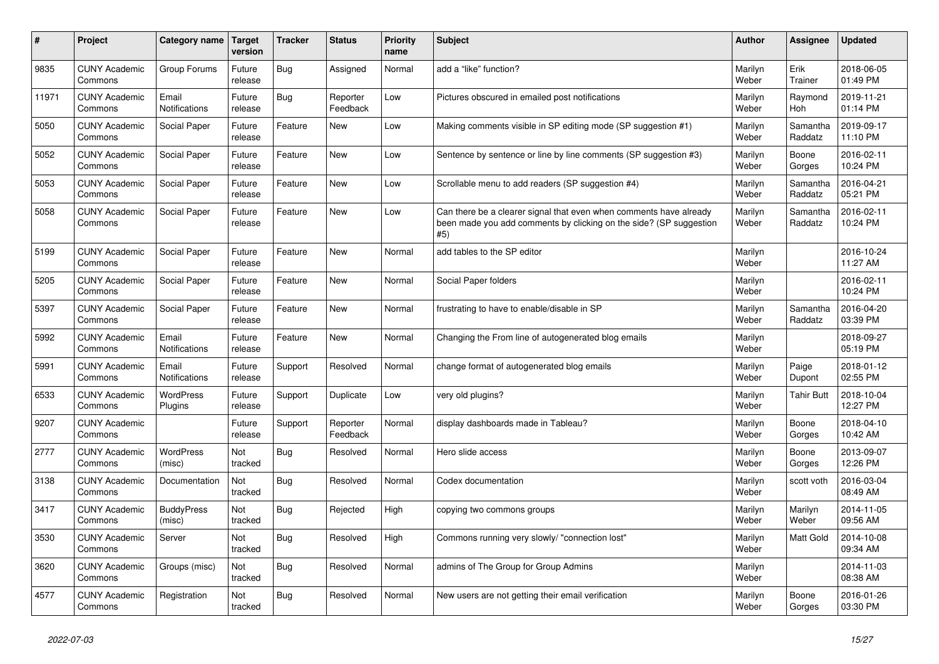| #     | Project                         | Category name               | Target<br>version | <b>Tracker</b> | <b>Status</b>        | <b>Priority</b><br>name | <b>Subject</b>                                                                                                                                  | <b>Author</b>    | <b>Assignee</b>     | <b>Updated</b>         |
|-------|---------------------------------|-----------------------------|-------------------|----------------|----------------------|-------------------------|-------------------------------------------------------------------------------------------------------------------------------------------------|------------------|---------------------|------------------------|
| 9835  | <b>CUNY Academic</b><br>Commons | Group Forums                | Future<br>release | Bug            | Assigned             | Normal                  | add a "like" function?                                                                                                                          | Marilyn<br>Weber | Erik<br>Trainer     | 2018-06-05<br>01:49 PM |
| 11971 | <b>CUNY Academic</b><br>Commons | Email<br>Notifications      | Future<br>release | <b>Bug</b>     | Reporter<br>Feedback | Low                     | Pictures obscured in emailed post notifications                                                                                                 | Marilyn<br>Weber | Raymond<br>Hoh      | 2019-11-21<br>01:14 PM |
| 5050  | <b>CUNY Academic</b><br>Commons | Social Paper                | Future<br>release | Feature        | New                  | Low                     | Making comments visible in SP editing mode (SP suggestion #1)                                                                                   | Marilyn<br>Weber | Samantha<br>Raddatz | 2019-09-17<br>11:10 PM |
| 5052  | <b>CUNY Academic</b><br>Commons | Social Paper                | Future<br>release | Feature        | New                  | Low                     | Sentence by sentence or line by line comments (SP suggestion #3)                                                                                | Marilyn<br>Weber | Boone<br>Gorges     | 2016-02-11<br>10:24 PM |
| 5053  | <b>CUNY Academic</b><br>Commons | Social Paper                | Future<br>release | Feature        | <b>New</b>           | Low                     | Scrollable menu to add readers (SP suggestion #4)                                                                                               | Marilyn<br>Weber | Samantha<br>Raddatz | 2016-04-21<br>05:21 PM |
| 5058  | <b>CUNY Academic</b><br>Commons | Social Paper                | Future<br>release | Feature        | New                  | Low                     | Can there be a clearer signal that even when comments have already<br>been made you add comments by clicking on the side? (SP suggestion<br>#5) | Marilyn<br>Weber | Samantha<br>Raddatz | 2016-02-11<br>10:24 PM |
| 5199  | <b>CUNY Academic</b><br>Commons | Social Paper                | Future<br>release | Feature        | <b>New</b>           | Normal                  | add tables to the SP editor                                                                                                                     | Marilyn<br>Weber |                     | 2016-10-24<br>11:27 AM |
| 5205  | <b>CUNY Academic</b><br>Commons | Social Paper                | Future<br>release | Feature        | New                  | Normal                  | Social Paper folders                                                                                                                            | Marilyn<br>Weber |                     | 2016-02-11<br>10:24 PM |
| 5397  | <b>CUNY Academic</b><br>Commons | Social Paper                | Future<br>release | Feature        | New                  | Normal                  | frustrating to have to enable/disable in SP                                                                                                     | Marilyn<br>Weber | Samantha<br>Raddatz | 2016-04-20<br>03:39 PM |
| 5992  | <b>CUNY Academic</b><br>Commons | Email<br>Notifications      | Future<br>release | Feature        | New                  | Normal                  | Changing the From line of autogenerated blog emails                                                                                             | Marilyn<br>Weber |                     | 2018-09-27<br>05:19 PM |
| 5991  | <b>CUNY Academic</b><br>Commons | Email<br>Notifications      | Future<br>release | Support        | Resolved             | Normal                  | change format of autogenerated blog emails                                                                                                      | Marilyn<br>Weber | Paige<br>Dupont     | 2018-01-12<br>02:55 PM |
| 6533  | <b>CUNY Academic</b><br>Commons | WordPress<br>Plugins        | Future<br>release | Support        | Duplicate            | Low                     | very old plugins?                                                                                                                               | Marilyn<br>Weber | Tahir Butt          | 2018-10-04<br>12:27 PM |
| 9207  | <b>CUNY Academic</b><br>Commons |                             | Future<br>release | Support        | Reporter<br>Feedback | Normal                  | display dashboards made in Tableau?                                                                                                             | Marilyn<br>Weber | Boone<br>Gorges     | 2018-04-10<br>10:42 AM |
| 2777  | <b>CUNY Academic</b><br>Commons | WordPress<br>(misc)         | Not<br>tracked    | Bug            | Resolved             | Normal                  | Hero slide access                                                                                                                               | Marilyn<br>Weber | Boone<br>Gorges     | 2013-09-07<br>12:26 PM |
| 3138  | <b>CUNY Academic</b><br>Commons | Documentation               | Not<br>tracked    | <b>Bug</b>     | Resolved             | Normal                  | Codex documentation                                                                                                                             | Marilyn<br>Weber | scott voth          | 2016-03-04<br>08:49 AM |
| 3417  | <b>CUNY Academic</b><br>Commons | <b>BuddyPress</b><br>(misc) | Not<br>tracked    | <b>Bug</b>     | Rejected             | High                    | copying two commons groups                                                                                                                      | Marilyn<br>Weber | Marilyn<br>Weber    | 2014-11-05<br>09:56 AM |
| 3530  | <b>CUNY Academic</b><br>Commons | Server                      | Not<br>tracked    | <b>Bug</b>     | Resolved             | High                    | Commons running very slowly/ "connection lost"                                                                                                  | Marilyn<br>Weber | <b>Matt Gold</b>    | 2014-10-08<br>09:34 AM |
| 3620  | <b>CUNY Academic</b><br>Commons | Groups (misc)               | Not<br>tracked    | Bug            | Resolved             | Normal                  | admins of The Group for Group Admins                                                                                                            | Marilyn<br>Weber |                     | 2014-11-03<br>08:38 AM |
| 4577  | <b>CUNY Academic</b><br>Commons | Registration                | Not<br>tracked    | <b>Bug</b>     | Resolved             | Normal                  | New users are not getting their email verification                                                                                              | Marilyn<br>Weber | Boone<br>Gorges     | 2016-01-26<br>03:30 PM |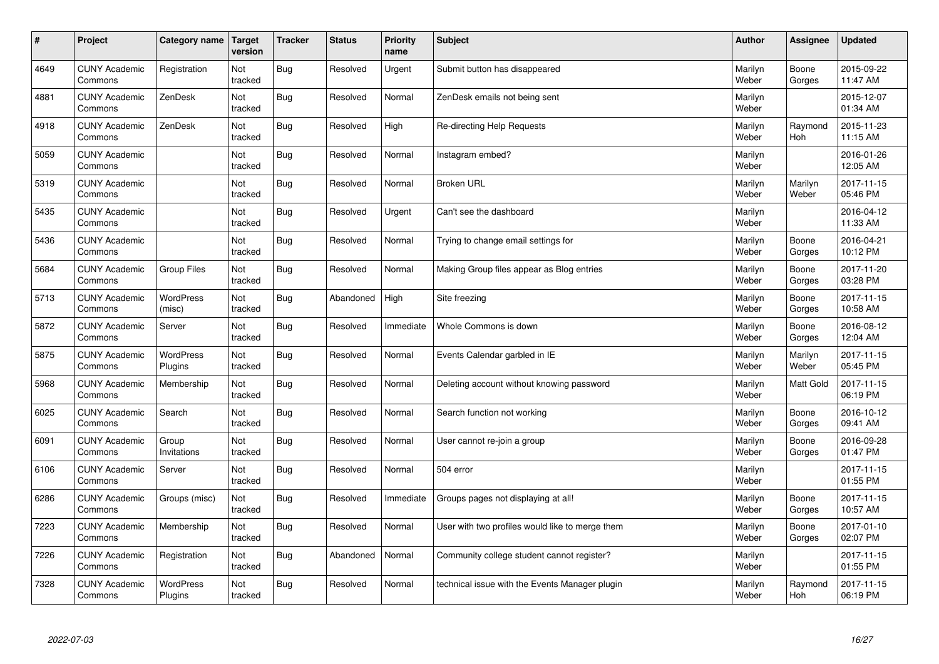| $\sharp$ | Project                         | Category name               | <b>Target</b><br>version | <b>Tracker</b> | <b>Status</b> | <b>Priority</b><br>name | <b>Subject</b>                                  | <b>Author</b>    | Assignee              | <b>Updated</b>         |
|----------|---------------------------------|-----------------------------|--------------------------|----------------|---------------|-------------------------|-------------------------------------------------|------------------|-----------------------|------------------------|
| 4649     | <b>CUNY Academic</b><br>Commons | Registration                | Not<br>tracked           | <b>Bug</b>     | Resolved      | Urgent                  | Submit button has disappeared                   | Marilyn<br>Weber | Boone<br>Gorges       | 2015-09-22<br>11:47 AM |
| 4881     | <b>CUNY Academic</b><br>Commons | ZenDesk                     | Not<br>tracked           | Bug            | Resolved      | Normal                  | ZenDesk emails not being sent                   | Marilyn<br>Weber |                       | 2015-12-07<br>01:34 AM |
| 4918     | <b>CUNY Academic</b><br>Commons | ZenDesk                     | Not<br>tracked           | Bug            | Resolved      | High                    | Re-directing Help Requests                      | Marilyn<br>Weber | Raymond<br><b>Hoh</b> | 2015-11-23<br>11:15 AM |
| 5059     | <b>CUNY Academic</b><br>Commons |                             | Not<br>tracked           | Bug            | Resolved      | Normal                  | Instagram embed?                                | Marilyn<br>Weber |                       | 2016-01-26<br>12:05 AM |
| 5319     | <b>CUNY Academic</b><br>Commons |                             | Not<br>tracked           | <b>Bug</b>     | Resolved      | Normal                  | <b>Broken URL</b>                               | Marilyn<br>Weber | Marilyn<br>Weber      | 2017-11-15<br>05:46 PM |
| 5435     | <b>CUNY Academic</b><br>Commons |                             | Not<br>tracked           | Bug            | Resolved      | Urgent                  | Can't see the dashboard                         | Marilyn<br>Weber |                       | 2016-04-12<br>11:33 AM |
| 5436     | <b>CUNY Academic</b><br>Commons |                             | Not<br>tracked           | Bug            | Resolved      | Normal                  | Trying to change email settings for             | Marilyn<br>Weber | Boone<br>Gorges       | 2016-04-21<br>10:12 PM |
| 5684     | <b>CUNY Academic</b><br>Commons | <b>Group Files</b>          | Not<br>tracked           | <b>Bug</b>     | Resolved      | Normal                  | Making Group files appear as Blog entries       | Marilyn<br>Weber | Boone<br>Gorges       | 2017-11-20<br>03:28 PM |
| 5713     | <b>CUNY Academic</b><br>Commons | WordPress<br>(misc)         | Not<br>tracked           | <b>Bug</b>     | Abandoned     | High                    | Site freezing                                   | Marilyn<br>Weber | Boone<br>Gorges       | 2017-11-15<br>10:58 AM |
| 5872     | <b>CUNY Academic</b><br>Commons | Server                      | Not<br>tracked           | Bug            | Resolved      | Immediate               | Whole Commons is down                           | Marilyn<br>Weber | Boone<br>Gorges       | 2016-08-12<br>12:04 AM |
| 5875     | <b>CUNY Academic</b><br>Commons | WordPress<br>Plugins        | Not<br>tracked           | Bug            | Resolved      | Normal                  | Events Calendar garbled in IE                   | Marilyn<br>Weber | Marilyn<br>Weber      | 2017-11-15<br>05:45 PM |
| 5968     | <b>CUNY Academic</b><br>Commons | Membership                  | Not<br>tracked           | Bug            | Resolved      | Normal                  | Deleting account without knowing password       | Marilyn<br>Weber | Matt Gold             | 2017-11-15<br>06:19 PM |
| 6025     | <b>CUNY Academic</b><br>Commons | Search                      | Not<br>tracked           | <b>Bug</b>     | Resolved      | Normal                  | Search function not working                     | Marilyn<br>Weber | Boone<br>Gorges       | 2016-10-12<br>09:41 AM |
| 6091     | <b>CUNY Academic</b><br>Commons | Group<br>Invitations        | Not<br>tracked           | Bug            | Resolved      | Normal                  | User cannot re-join a group                     | Marilyn<br>Weber | Boone<br>Gorges       | 2016-09-28<br>01:47 PM |
| 6106     | <b>CUNY Academic</b><br>Commons | Server                      | Not<br>tracked           | Bug            | Resolved      | Normal                  | 504 error                                       | Marilyn<br>Weber |                       | 2017-11-15<br>01:55 PM |
| 6286     | <b>CUNY Academic</b><br>Commons | Groups (misc)               | Not<br>tracked           | Bug            | Resolved      | Immediate               | Groups pages not displaying at all!             | Marilyn<br>Weber | Boone<br>Gorges       | 2017-11-15<br>10:57 AM |
| 7223     | <b>CUNY Academic</b><br>Commons | Membership                  | Not<br>tracked           | <b>Bug</b>     | Resolved      | Normal                  | User with two profiles would like to merge them | Marilyn<br>Weber | Boone<br>Gorges       | 2017-01-10<br>02:07 PM |
| 7226     | <b>CUNY Academic</b><br>Commons | Registration                | Not<br>tracked           | <b>Bug</b>     | Abandoned     | Normal                  | Community college student cannot register?      | Marilyn<br>Weber |                       | 2017-11-15<br>01:55 PM |
| 7328     | <b>CUNY Academic</b><br>Commons | <b>WordPress</b><br>Plugins | Not<br>tracked           | Bug            | Resolved      | Normal                  | technical issue with the Events Manager plugin  | Marilyn<br>Weber | Raymond<br>Hoh        | 2017-11-15<br>06:19 PM |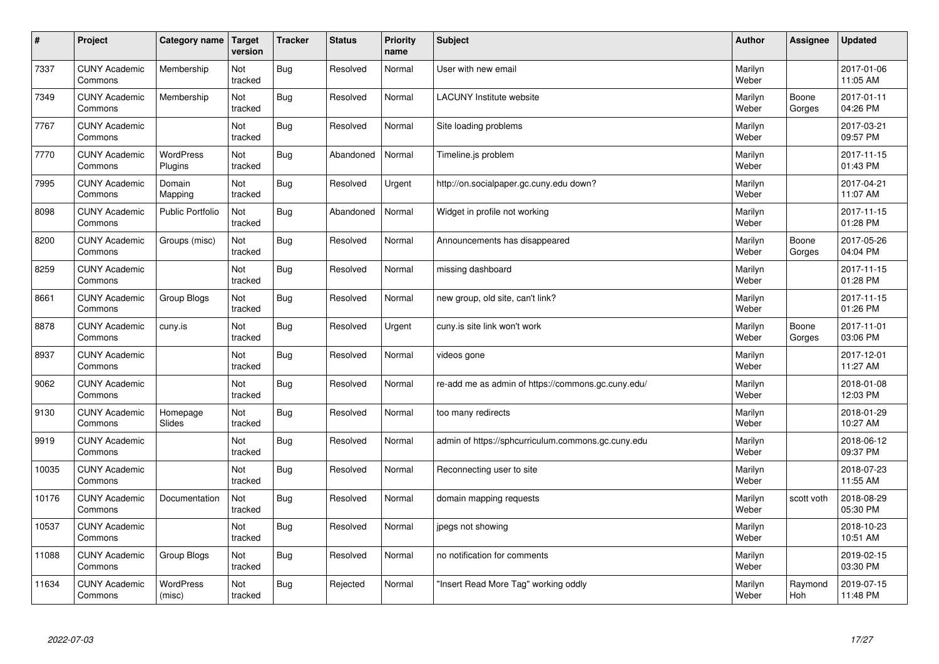| $\sharp$ | Project                         | Category name              | <b>Target</b><br>version | <b>Tracker</b> | <b>Status</b> | <b>Priority</b><br>name | <b>Subject</b>                                     | <b>Author</b>    | <b>Assignee</b> | <b>Updated</b>         |
|----------|---------------------------------|----------------------------|--------------------------|----------------|---------------|-------------------------|----------------------------------------------------|------------------|-----------------|------------------------|
| 7337     | <b>CUNY Academic</b><br>Commons | Membership                 | Not<br>tracked           | Bug            | Resolved      | Normal                  | User with new email                                | Marilyn<br>Weber |                 | 2017-01-06<br>11:05 AM |
| 7349     | <b>CUNY Academic</b><br>Commons | Membership                 | Not<br>tracked           | Bug            | Resolved      | Normal                  | <b>LACUNY Institute website</b>                    | Marilyn<br>Weber | Boone<br>Gorges | 2017-01-11<br>04:26 PM |
| 7767     | <b>CUNY Academic</b><br>Commons |                            | Not<br>tracked           | <b>Bug</b>     | Resolved      | Normal                  | Site loading problems                              | Marilyn<br>Weber |                 | 2017-03-21<br>09:57 PM |
| 7770     | <b>CUNY Academic</b><br>Commons | WordPress<br>Plugins       | Not<br>tracked           | <b>Bug</b>     | Abandoned     | Normal                  | Timeline.js problem                                | Marilyn<br>Weber |                 | 2017-11-15<br>01:43 PM |
| 7995     | <b>CUNY Academic</b><br>Commons | Domain<br>Mapping          | Not<br>tracked           | <b>Bug</b>     | Resolved      | Urgent                  | http://on.socialpaper.gc.cuny.edu down?            | Marilyn<br>Weber |                 | 2017-04-21<br>11:07 AM |
| 8098     | <b>CUNY Academic</b><br>Commons | Public Portfolio           | Not<br>tracked           | Bug            | Abandoned     | Normal                  | Widget in profile not working                      | Marilyn<br>Weber |                 | 2017-11-15<br>01:28 PM |
| 8200     | <b>CUNY Academic</b><br>Commons | Groups (misc)              | Not<br>tracked           | <b>Bug</b>     | Resolved      | Normal                  | Announcements has disappeared                      | Marilyn<br>Weber | Boone<br>Gorges | 2017-05-26<br>04:04 PM |
| 8259     | <b>CUNY Academic</b><br>Commons |                            | Not<br>tracked           | <b>Bug</b>     | Resolved      | Normal                  | missing dashboard                                  | Marilyn<br>Weber |                 | 2017-11-15<br>01:28 PM |
| 8661     | <b>CUNY Academic</b><br>Commons | Group Blogs                | Not<br>tracked           | <b>Bug</b>     | Resolved      | Normal                  | new group, old site, can't link?                   | Marilyn<br>Weber |                 | 2017-11-15<br>01:26 PM |
| 8878     | <b>CUNY Academic</b><br>Commons | cuny.is                    | Not<br>tracked           | Bug            | Resolved      | Urgent                  | cuny is site link won't work                       | Marilyn<br>Weber | Boone<br>Gorges | 2017-11-01<br>03:06 PM |
| 8937     | <b>CUNY Academic</b><br>Commons |                            | Not<br>tracked           | Bug            | Resolved      | Normal                  | videos gone                                        | Marilyn<br>Weber |                 | 2017-12-01<br>11:27 AM |
| 9062     | <b>CUNY Academic</b><br>Commons |                            | Not<br>tracked           | <b>Bug</b>     | Resolved      | Normal                  | re-add me as admin of https://commons.gc.cuny.edu/ | Marilyn<br>Weber |                 | 2018-01-08<br>12:03 PM |
| 9130     | <b>CUNY Academic</b><br>Commons | Homepage<br>Slides         | Not<br>tracked           | <b>Bug</b>     | Resolved      | Normal                  | too many redirects                                 | Marilyn<br>Weber |                 | 2018-01-29<br>10:27 AM |
| 9919     | <b>CUNY Academic</b><br>Commons |                            | Not<br>tracked           | <b>Bug</b>     | Resolved      | Normal                  | admin of https://sphcurriculum.commons.gc.cuny.edu | Marilyn<br>Weber |                 | 2018-06-12<br>09:37 PM |
| 10035    | <b>CUNY Academic</b><br>Commons |                            | Not<br>tracked           | <b>Bug</b>     | Resolved      | Normal                  | Reconnecting user to site                          | Marilyn<br>Weber |                 | 2018-07-23<br>11:55 AM |
| 10176    | <b>CUNY Academic</b><br>Commons | Documentation              | Not<br>tracked           | <b>Bug</b>     | Resolved      | Normal                  | domain mapping requests                            | Marilyn<br>Weber | scott voth      | 2018-08-29<br>05:30 PM |
| 10537    | <b>CUNY Academic</b><br>Commons |                            | Not<br>tracked           | <b>Bug</b>     | Resolved      | Normal                  | jpegs not showing                                  | Marilyn<br>Weber |                 | 2018-10-23<br>10:51 AM |
| 11088    | <b>CUNY Academic</b><br>Commons | Group Blogs                | Not<br>tracked           | <b>Bug</b>     | Resolved      | Normal                  | no notification for comments                       | Marilyn<br>Weber |                 | 2019-02-15<br>03:30 PM |
| 11634    | <b>CUNY Academic</b><br>Commons | <b>WordPress</b><br>(misc) | Not<br>tracked           | <b>Bug</b>     | Rejected      | Normal                  | "Insert Read More Tag" working oddly               | Marilyn<br>Weber | Raymond<br>Hoh  | 2019-07-15<br>11:48 PM |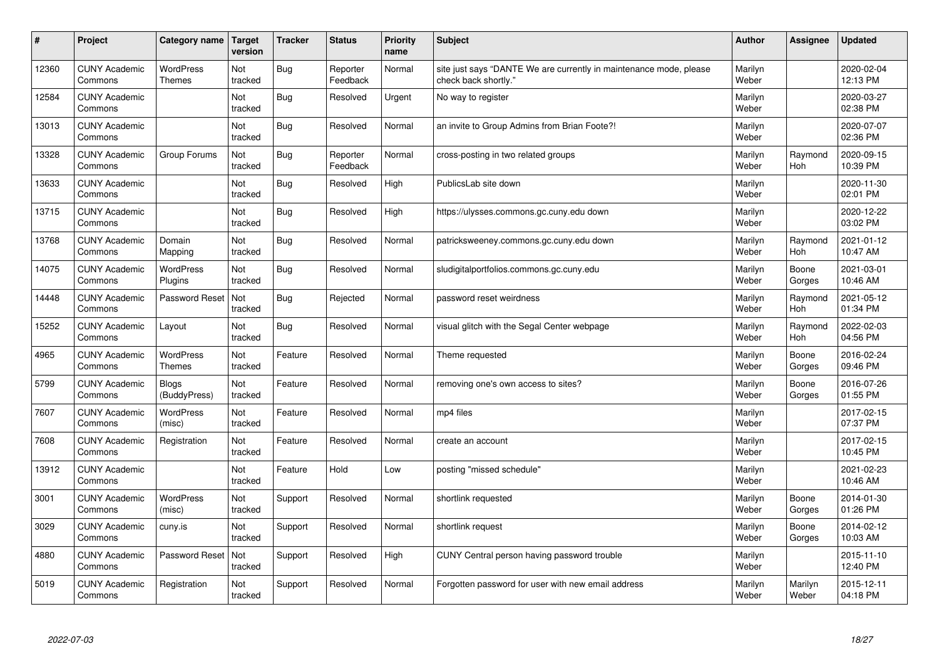| #     | Project                         | Category name                     | <b>Target</b><br>version | <b>Tracker</b> | <b>Status</b>        | <b>Priority</b><br>name | <b>Subject</b>                                                                             | <b>Author</b>    | Assignee         | <b>Updated</b>         |
|-------|---------------------------------|-----------------------------------|--------------------------|----------------|----------------------|-------------------------|--------------------------------------------------------------------------------------------|------------------|------------------|------------------------|
| 12360 | <b>CUNY Academic</b><br>Commons | <b>WordPress</b><br><b>Themes</b> | Not<br>tracked           | <b>Bug</b>     | Reporter<br>Feedback | Normal                  | site just says "DANTE We are currently in maintenance mode, please<br>check back shortly." | Marilyn<br>Weber |                  | 2020-02-04<br>12:13 PM |
| 12584 | <b>CUNY Academic</b><br>Commons |                                   | Not<br>tracked           | <b>Bug</b>     | Resolved             | Urgent                  | No way to register                                                                         | Marilyn<br>Weber |                  | 2020-03-27<br>02:38 PM |
| 13013 | <b>CUNY Academic</b><br>Commons |                                   | Not<br>tracked           | Bug            | Resolved             | Normal                  | an invite to Group Admins from Brian Foote?!                                               | Marilyn<br>Weber |                  | 2020-07-07<br>02:36 PM |
| 13328 | <b>CUNY Academic</b><br>Commons | Group Forums                      | Not<br>tracked           | Bug            | Reporter<br>Feedback | Normal                  | cross-posting in two related groups                                                        | Marilyn<br>Weber | Raymond<br>Hoh   | 2020-09-15<br>10:39 PM |
| 13633 | <b>CUNY Academic</b><br>Commons |                                   | Not<br>tracked           | <b>Bug</b>     | Resolved             | High                    | PublicsLab site down                                                                       | Marilyn<br>Weber |                  | 2020-11-30<br>02:01 PM |
| 13715 | <b>CUNY Academic</b><br>Commons |                                   | Not<br>tracked           | <b>Bug</b>     | Resolved             | High                    | https://ulysses.commons.gc.cuny.edu down                                                   | Marilyn<br>Weber |                  | 2020-12-22<br>03:02 PM |
| 13768 | <b>CUNY Academic</b><br>Commons | Domain<br>Mapping                 | Not<br>tracked           | <b>Bug</b>     | Resolved             | Normal                  | patricksweeney.commons.gc.cuny.edu down                                                    | Marilyn<br>Weber | Raymond<br>Hoh   | 2021-01-12<br>10:47 AM |
| 14075 | <b>CUNY Academic</b><br>Commons | <b>WordPress</b><br>Plugins       | Not<br>tracked           | Bug            | Resolved             | Normal                  | sludigitalportfolios.commons.gc.cuny.edu                                                   | Marilyn<br>Weber | Boone<br>Gorges  | 2021-03-01<br>10:46 AM |
| 14448 | <b>CUNY Academic</b><br>Commons | Password Reset                    | Not<br>tracked           | <b>Bug</b>     | Rejected             | Normal                  | password reset weirdness                                                                   | Marilyn<br>Weber | Raymond<br>Hoh   | 2021-05-12<br>01:34 PM |
| 15252 | <b>CUNY Academic</b><br>Commons | Layout                            | Not<br>tracked           | <b>Bug</b>     | Resolved             | Normal                  | visual glitch with the Segal Center webpage                                                | Marilyn<br>Weber | Raymond<br>Hoh   | 2022-02-03<br>04:56 PM |
| 4965  | <b>CUNY Academic</b><br>Commons | <b>WordPress</b><br><b>Themes</b> | Not<br>tracked           | Feature        | Resolved             | Normal                  | Theme requested                                                                            | Marilyn<br>Weber | Boone<br>Gorges  | 2016-02-24<br>09:46 PM |
| 5799  | <b>CUNY Academic</b><br>Commons | <b>Blogs</b><br>(BuddyPress)      | Not<br>tracked           | Feature        | Resolved             | Normal                  | removing one's own access to sites?                                                        | Marilyn<br>Weber | Boone<br>Gorges  | 2016-07-26<br>01:55 PM |
| 7607  | <b>CUNY Academic</b><br>Commons | WordPress<br>(misc)               | Not<br>tracked           | Feature        | Resolved             | Normal                  | mp4 files                                                                                  | Marilyn<br>Weber |                  | 2017-02-15<br>07:37 PM |
| 7608  | <b>CUNY Academic</b><br>Commons | Registration                      | Not<br>tracked           | Feature        | Resolved             | Normal                  | create an account                                                                          | Marilyn<br>Weber |                  | 2017-02-15<br>10:45 PM |
| 13912 | <b>CUNY Academic</b><br>Commons |                                   | Not<br>tracked           | Feature        | Hold                 | Low                     | posting "missed schedule"                                                                  | Marilyn<br>Weber |                  | 2021-02-23<br>10:46 AM |
| 3001  | <b>CUNY Academic</b><br>Commons | WordPress<br>(misc)               | Not<br>tracked           | Support        | Resolved             | Normal                  | shortlink requested                                                                        | Marilyn<br>Weber | Boone<br>Gorges  | 2014-01-30<br>01:26 PM |
| 3029  | <b>CUNY Academic</b><br>Commons | cuny.is                           | Not<br>tracked           | Support        | Resolved             | Normal                  | shortlink request                                                                          | Marilyn<br>Weber | Boone<br>Gorges  | 2014-02-12<br>10:03 AM |
| 4880  | <b>CUNY Academic</b><br>Commons | Password Reset                    | Not<br>tracked           | Support        | Resolved             | High                    | CUNY Central person having password trouble                                                | Marilyn<br>Weber |                  | 2015-11-10<br>12:40 PM |
| 5019  | <b>CUNY Academic</b><br>Commons | Registration                      | Not<br>tracked           | Support        | Resolved             | Normal                  | Forgotten password for user with new email address                                         | Marilyn<br>Weber | Marilyn<br>Weber | 2015-12-11<br>04:18 PM |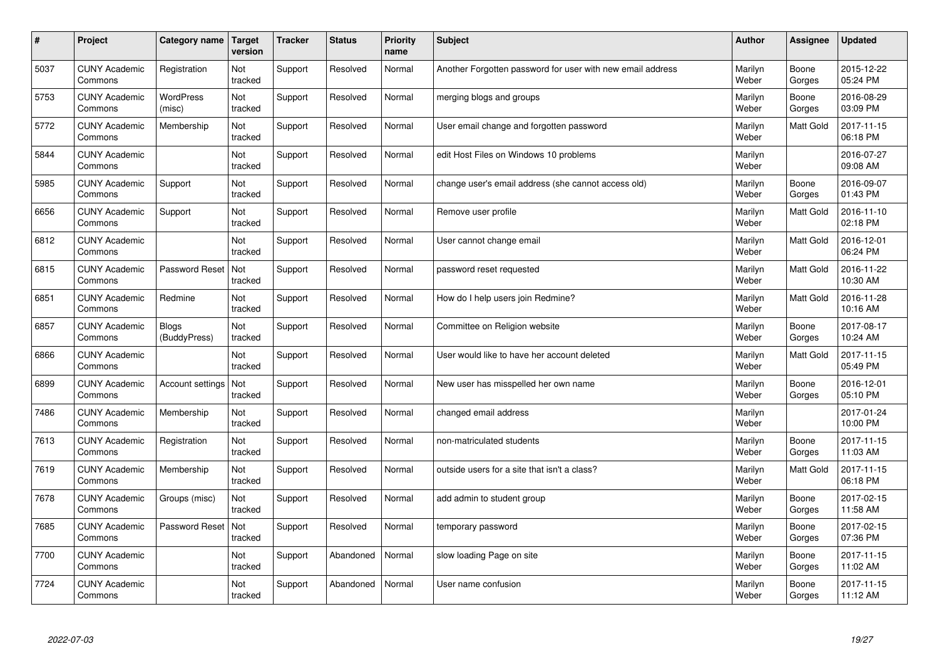| $\vert$ # | Project                         | Category name         | <b>Target</b><br>version | <b>Tracker</b> | <b>Status</b> | <b>Priority</b><br>name | <b>Subject</b>                                             | <b>Author</b>    | Assignee        | <b>Updated</b>         |
|-----------|---------------------------------|-----------------------|--------------------------|----------------|---------------|-------------------------|------------------------------------------------------------|------------------|-----------------|------------------------|
| 5037      | <b>CUNY Academic</b><br>Commons | Registration          | Not<br>tracked           | Support        | Resolved      | Normal                  | Another Forgotten password for user with new email address | Marilyn<br>Weber | Boone<br>Gorges | 2015-12-22<br>05:24 PM |
| 5753      | <b>CUNY Academic</b><br>Commons | WordPress<br>(misc)   | Not<br>tracked           | Support        | Resolved      | Normal                  | merging blogs and groups                                   | Marilyn<br>Weber | Boone<br>Gorges | 2016-08-29<br>03:09 PM |
| 5772      | <b>CUNY Academic</b><br>Commons | Membership            | Not<br>tracked           | Support        | Resolved      | Normal                  | User email change and forgotten password                   | Marilyn<br>Weber | Matt Gold       | 2017-11-15<br>06:18 PM |
| 5844      | <b>CUNY Academic</b><br>Commons |                       | Not<br>tracked           | Support        | Resolved      | Normal                  | edit Host Files on Windows 10 problems                     | Marilyn<br>Weber |                 | 2016-07-27<br>09:08 AM |
| 5985      | <b>CUNY Academic</b><br>Commons | Support               | Not<br>tracked           | Support        | Resolved      | Normal                  | change user's email address (she cannot access old)        | Marilyn<br>Weber | Boone<br>Gorges | 2016-09-07<br>01:43 PM |
| 6656      | <b>CUNY Academic</b><br>Commons | Support               | Not<br>tracked           | Support        | Resolved      | Normal                  | Remove user profile                                        | Marilyn<br>Weber | Matt Gold       | 2016-11-10<br>02:18 PM |
| 6812      | <b>CUNY Academic</b><br>Commons |                       | Not<br>tracked           | Support        | Resolved      | Normal                  | User cannot change email                                   | Marilyn<br>Weber | Matt Gold       | 2016-12-01<br>06:24 PM |
| 6815      | <b>CUNY Academic</b><br>Commons | Password Reset        | Not<br>tracked           | Support        | Resolved      | Normal                  | password reset requested                                   | Marilyn<br>Weber | Matt Gold       | 2016-11-22<br>10:30 AM |
| 6851      | <b>CUNY Academic</b><br>Commons | Redmine               | Not<br>tracked           | Support        | Resolved      | Normal                  | How do I help users join Redmine?                          | Marilyn<br>Weber | Matt Gold       | 2016-11-28<br>10:16 AM |
| 6857      | <b>CUNY Academic</b><br>Commons | Blogs<br>(BuddyPress) | Not<br>tracked           | Support        | Resolved      | Normal                  | Committee on Religion website                              | Marilyn<br>Weber | Boone<br>Gorges | 2017-08-17<br>10:24 AM |
| 6866      | <b>CUNY Academic</b><br>Commons |                       | Not<br>tracked           | Support        | Resolved      | Normal                  | User would like to have her account deleted                | Marilyn<br>Weber | Matt Gold       | 2017-11-15<br>05:49 PM |
| 6899      | <b>CUNY Academic</b><br>Commons | Account settings      | Not<br>tracked           | Support        | Resolved      | Normal                  | New user has misspelled her own name                       | Marilyn<br>Weber | Boone<br>Gorges | 2016-12-01<br>05:10 PM |
| 7486      | <b>CUNY Academic</b><br>Commons | Membership            | Not<br>tracked           | Support        | Resolved      | Normal                  | changed email address                                      | Marilyn<br>Weber |                 | 2017-01-24<br>10:00 PM |
| 7613      | <b>CUNY Academic</b><br>Commons | Registration          | Not<br>tracked           | Support        | Resolved      | Normal                  | non-matriculated students                                  | Marilyn<br>Weber | Boone<br>Gorges | 2017-11-15<br>11:03 AM |
| 7619      | <b>CUNY Academic</b><br>Commons | Membership            | Not<br>tracked           | Support        | Resolved      | Normal                  | outside users for a site that isn't a class?               | Marilyn<br>Weber | Matt Gold       | 2017-11-15<br>06:18 PM |
| 7678      | <b>CUNY Academic</b><br>Commons | Groups (misc)         | Not<br>tracked           | Support        | Resolved      | Normal                  | add admin to student group                                 | Marilyn<br>Weber | Boone<br>Gorges | 2017-02-15<br>11:58 AM |
| 7685      | <b>CUNY Academic</b><br>Commons | Password Reset        | Not<br>tracked           | Support        | Resolved      | Normal                  | temporary password                                         | Marilyn<br>Weber | Boone<br>Gorges | 2017-02-15<br>07:36 PM |
| 7700      | <b>CUNY Academic</b><br>Commons |                       | Not<br>tracked           | Support        | Abandoned     | Normal                  | slow loading Page on site                                  | Marilyn<br>Weber | Boone<br>Gorges | 2017-11-15<br>11:02 AM |
| 7724      | <b>CUNY Academic</b><br>Commons |                       | Not<br>tracked           | Support        | Abandoned     | Normal                  | User name confusion                                        | Marilyn<br>Weber | Boone<br>Gorges | 2017-11-15<br>11:12 AM |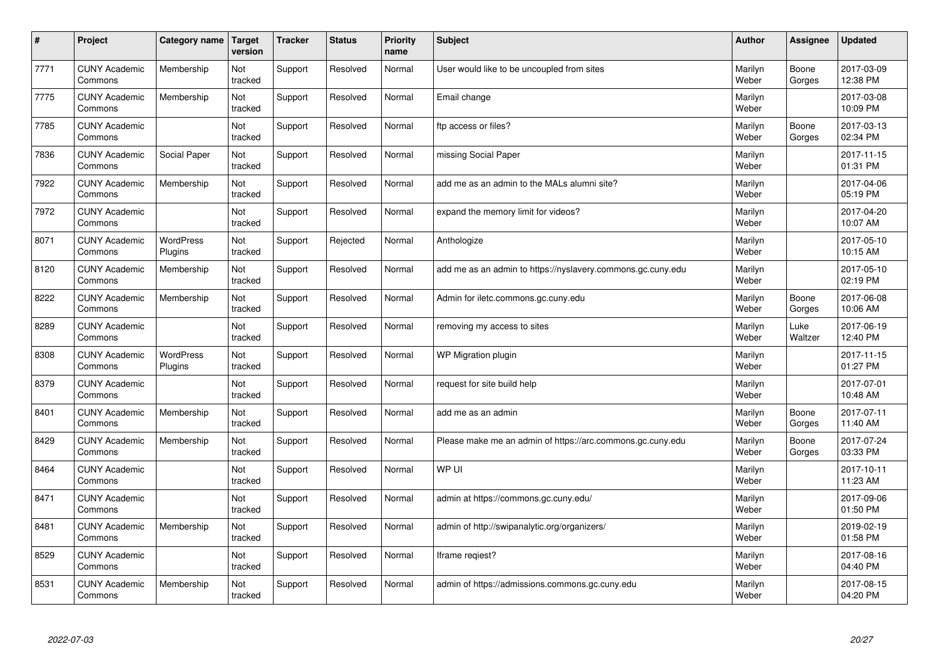| #    | Project                         | Category name        | <b>Target</b><br>version | <b>Tracker</b> | <b>Status</b> | <b>Priority</b><br>name | <b>Subject</b>                                              | <b>Author</b>    | Assignee        | <b>Updated</b>         |
|------|---------------------------------|----------------------|--------------------------|----------------|---------------|-------------------------|-------------------------------------------------------------|------------------|-----------------|------------------------|
| 7771 | <b>CUNY Academic</b><br>Commons | Membership           | Not<br>tracked           | Support        | Resolved      | Normal                  | User would like to be uncoupled from sites                  | Marilyn<br>Weber | Boone<br>Gorges | 2017-03-09<br>12:38 PM |
| 7775 | <b>CUNY Academic</b><br>Commons | Membership           | Not<br>tracked           | Support        | Resolved      | Normal                  | Email change                                                | Marilyn<br>Weber |                 | 2017-03-08<br>10:09 PM |
| 7785 | <b>CUNY Academic</b><br>Commons |                      | Not<br>tracked           | Support        | Resolved      | Normal                  | ftp access or files?                                        | Marilyn<br>Weber | Boone<br>Gorges | 2017-03-13<br>02:34 PM |
| 7836 | <b>CUNY Academic</b><br>Commons | Social Paper         | Not<br>tracked           | Support        | Resolved      | Normal                  | missing Social Paper                                        | Marilyn<br>Weber |                 | 2017-11-15<br>01:31 PM |
| 7922 | <b>CUNY Academic</b><br>Commons | Membership           | Not<br>tracked           | Support        | Resolved      | Normal                  | add me as an admin to the MALs alumni site?                 | Marilyn<br>Weber |                 | 2017-04-06<br>05:19 PM |
| 7972 | <b>CUNY Academic</b><br>Commons |                      | Not<br>tracked           | Support        | Resolved      | Normal                  | expand the memory limit for videos?                         | Marilyn<br>Weber |                 | 2017-04-20<br>10:07 AM |
| 8071 | <b>CUNY Academic</b><br>Commons | WordPress<br>Plugins | Not<br>tracked           | Support        | Rejected      | Normal                  | Anthologize                                                 | Marilyn<br>Weber |                 | 2017-05-10<br>10:15 AM |
| 8120 | <b>CUNY Academic</b><br>Commons | Membership           | Not<br>tracked           | Support        | Resolved      | Normal                  | add me as an admin to https://nyslavery.commons.gc.cuny.edu | Marilyn<br>Weber |                 | 2017-05-10<br>02:19 PM |
| 8222 | <b>CUNY Academic</b><br>Commons | Membership           | Not<br>tracked           | Support        | Resolved      | Normal                  | Admin for iletc.commons.gc.cuny.edu                         | Marilyn<br>Weber | Boone<br>Gorges | 2017-06-08<br>10:06 AM |
| 8289 | <b>CUNY Academic</b><br>Commons |                      | Not<br>tracked           | Support        | Resolved      | Normal                  | removing my access to sites                                 | Marilyn<br>Weber | Luke<br>Waltzer | 2017-06-19<br>12:40 PM |
| 8308 | <b>CUNY Academic</b><br>Commons | WordPress<br>Plugins | Not<br>tracked           | Support        | Resolved      | Normal                  | WP Migration plugin                                         | Marilyn<br>Weber |                 | 2017-11-15<br>01:27 PM |
| 8379 | <b>CUNY Academic</b><br>Commons |                      | Not<br>tracked           | Support        | Resolved      | Normal                  | request for site build help                                 | Marilyn<br>Weber |                 | 2017-07-01<br>10:48 AM |
| 8401 | <b>CUNY Academic</b><br>Commons | Membership           | Not<br>tracked           | Support        | Resolved      | Normal                  | add me as an admin                                          | Marilyn<br>Weber | Boone<br>Gorges | 2017-07-11<br>11:40 AM |
| 8429 | <b>CUNY Academic</b><br>Commons | Membership           | Not<br>tracked           | Support        | Resolved      | Normal                  | Please make me an admin of https://arc.commons.gc.cuny.edu  | Marilyn<br>Weber | Boone<br>Gorges | 2017-07-24<br>03:33 PM |
| 8464 | <b>CUNY Academic</b><br>Commons |                      | Not<br>tracked           | Support        | Resolved      | Normal                  | WP UI                                                       | Marilyn<br>Weber |                 | 2017-10-11<br>11:23 AM |
| 8471 | <b>CUNY Academic</b><br>Commons |                      | Not<br>tracked           | Support        | Resolved      | Normal                  | admin at https://commons.gc.cuny.edu/                       | Marilyn<br>Weber |                 | 2017-09-06<br>01:50 PM |
| 8481 | <b>CUNY Academic</b><br>Commons | Membership           | Not<br>tracked           | Support        | Resolved      | Normal                  | admin of http://swipanalytic.org/organizers/                | Marilyn<br>Weber |                 | 2019-02-19<br>01:58 PM |
| 8529 | <b>CUNY Academic</b><br>Commons |                      | Not<br>tracked           | Support        | Resolved      | Normal                  | lframe regiest?                                             | Marilyn<br>Weber |                 | 2017-08-16<br>04:40 PM |
| 8531 | <b>CUNY Academic</b><br>Commons | Membership           | Not<br>tracked           | Support        | Resolved      | Normal                  | admin of https://admissions.commons.gc.cuny.edu             | Marilyn<br>Weber |                 | 2017-08-15<br>04:20 PM |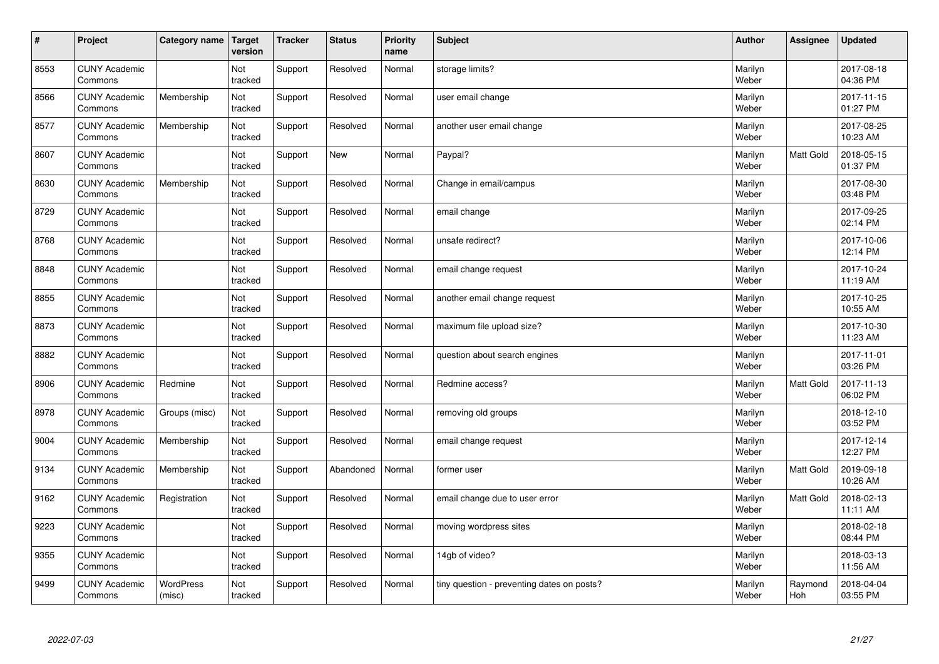| $\sharp$ | Project                         | Category name       | <b>Target</b><br>version | <b>Tracker</b> | <b>Status</b> | Priority<br>name | <b>Subject</b>                             | <b>Author</b>    | Assignee       | <b>Updated</b>         |
|----------|---------------------------------|---------------------|--------------------------|----------------|---------------|------------------|--------------------------------------------|------------------|----------------|------------------------|
| 8553     | <b>CUNY Academic</b><br>Commons |                     | Not<br>tracked           | Support        | Resolved      | Normal           | storage limits?                            | Marilyn<br>Weber |                | 2017-08-18<br>04:36 PM |
| 8566     | <b>CUNY Academic</b><br>Commons | Membership          | Not<br>tracked           | Support        | Resolved      | Normal           | user email change                          | Marilyn<br>Weber |                | 2017-11-15<br>01:27 PM |
| 8577     | <b>CUNY Academic</b><br>Commons | Membership          | Not<br>tracked           | Support        | Resolved      | Normal           | another user email change                  | Marilyn<br>Weber |                | 2017-08-25<br>10:23 AM |
| 8607     | <b>CUNY Academic</b><br>Commons |                     | Not<br>tracked           | Support        | <b>New</b>    | Normal           | Paypal?                                    | Marilyn<br>Weber | Matt Gold      | 2018-05-15<br>01:37 PM |
| 8630     | <b>CUNY Academic</b><br>Commons | Membership          | Not<br>tracked           | Support        | Resolved      | Normal           | Change in email/campus                     | Marilyn<br>Weber |                | 2017-08-30<br>03:48 PM |
| 8729     | <b>CUNY Academic</b><br>Commons |                     | Not<br>tracked           | Support        | Resolved      | Normal           | email change                               | Marilyn<br>Weber |                | 2017-09-25<br>02:14 PM |
| 8768     | <b>CUNY Academic</b><br>Commons |                     | Not<br>tracked           | Support        | Resolved      | Normal           | unsafe redirect?                           | Marilyn<br>Weber |                | 2017-10-06<br>12:14 PM |
| 8848     | <b>CUNY Academic</b><br>Commons |                     | Not<br>tracked           | Support        | Resolved      | Normal           | email change request                       | Marilyn<br>Weber |                | 2017-10-24<br>11:19 AM |
| 8855     | <b>CUNY Academic</b><br>Commons |                     | Not<br>tracked           | Support        | Resolved      | Normal           | another email change request               | Marilyn<br>Weber |                | 2017-10-25<br>10:55 AM |
| 8873     | <b>CUNY Academic</b><br>Commons |                     | Not<br>tracked           | Support        | Resolved      | Normal           | maximum file upload size?                  | Marilyn<br>Weber |                | 2017-10-30<br>11:23 AM |
| 8882     | <b>CUNY Academic</b><br>Commons |                     | Not<br>tracked           | Support        | Resolved      | Normal           | question about search engines              | Marilyn<br>Weber |                | 2017-11-01<br>03:26 PM |
| 8906     | <b>CUNY Academic</b><br>Commons | Redmine             | Not<br>tracked           | Support        | Resolved      | Normal           | Redmine access?                            | Marilyn<br>Weber | Matt Gold      | 2017-11-13<br>06:02 PM |
| 8978     | <b>CUNY Academic</b><br>Commons | Groups (misc)       | Not<br>tracked           | Support        | Resolved      | Normal           | removing old groups                        | Marilyn<br>Weber |                | 2018-12-10<br>03:52 PM |
| 9004     | <b>CUNY Academic</b><br>Commons | Membership          | Not<br>tracked           | Support        | Resolved      | Normal           | email change request                       | Marilyn<br>Weber |                | 2017-12-14<br>12:27 PM |
| 9134     | <b>CUNY Academic</b><br>Commons | Membership          | Not<br>tracked           | Support        | Abandoned     | Normal           | former user                                | Marilyn<br>Weber | Matt Gold      | 2019-09-18<br>10:26 AM |
| 9162     | <b>CUNY Academic</b><br>Commons | Registration        | <b>Not</b><br>tracked    | Support        | Resolved      | Normal           | email change due to user error             | Marilyn<br>Weber | Matt Gold      | 2018-02-13<br>11:11 AM |
| 9223     | <b>CUNY Academic</b><br>Commons |                     | Not<br>tracked           | Support        | Resolved      | Normal           | moving wordpress sites                     | Marilyn<br>Weber |                | 2018-02-18<br>08:44 PM |
| 9355     | <b>CUNY Academic</b><br>Commons |                     | Not<br>tracked           | Support        | Resolved      | Normal           | 14gb of video?                             | Marilyn<br>Weber |                | 2018-03-13<br>11:56 AM |
| 9499     | <b>CUNY Academic</b><br>Commons | WordPress<br>(misc) | Not<br>tracked           | Support        | Resolved      | Normal           | tiny question - preventing dates on posts? | Marilyn<br>Weber | Raymond<br>Hoh | 2018-04-04<br>03:55 PM |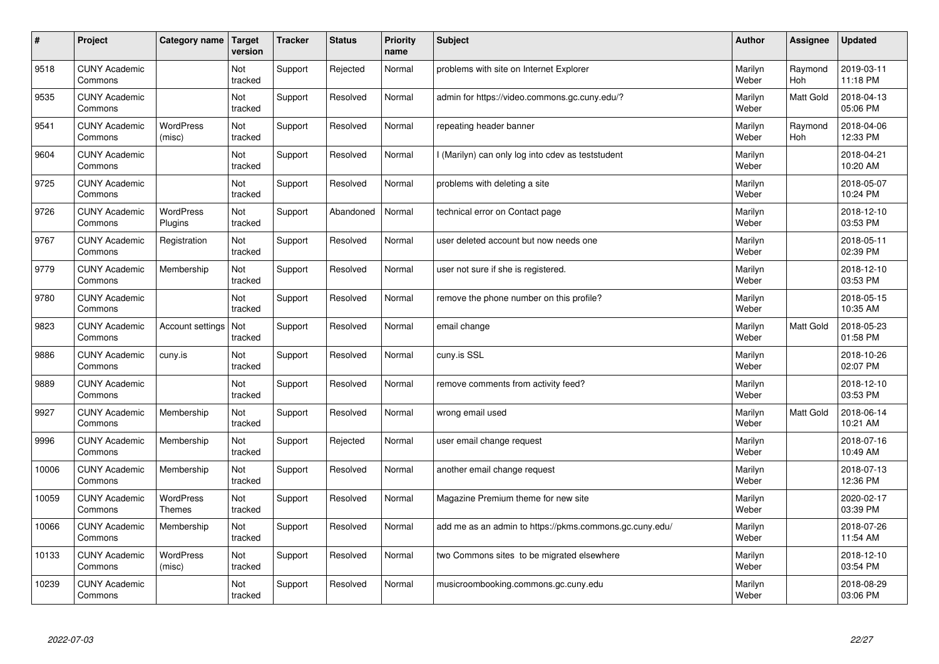| $\vert$ # | Project                         | Category name                     | <b>Target</b><br>version | <b>Tracker</b> | <b>Status</b> | Priority<br>name | <b>Subject</b>                                          | <b>Author</b>    | Assignee       | <b>Updated</b>         |
|-----------|---------------------------------|-----------------------------------|--------------------------|----------------|---------------|------------------|---------------------------------------------------------|------------------|----------------|------------------------|
| 9518      | <b>CUNY Academic</b><br>Commons |                                   | Not<br>tracked           | Support        | Rejected      | Normal           | problems with site on Internet Explorer                 | Marilyn<br>Weber | Raymond<br>Hoh | 2019-03-11<br>11:18 PM |
| 9535      | <b>CUNY Academic</b><br>Commons |                                   | Not<br>tracked           | Support        | Resolved      | Normal           | admin for https://video.commons.gc.cuny.edu/?           | Marilyn<br>Weber | Matt Gold      | 2018-04-13<br>05:06 PM |
| 9541      | <b>CUNY Academic</b><br>Commons | <b>WordPress</b><br>(misc)        | Not<br>tracked           | Support        | Resolved      | Normal           | repeating header banner                                 | Marilyn<br>Weber | Raymond<br>Hoh | 2018-04-06<br>12:33 PM |
| 9604      | <b>CUNY Academic</b><br>Commons |                                   | Not<br>tracked           | Support        | Resolved      | Normal           | (Marilyn) can only log into cdev as teststudent         | Marilyn<br>Weber |                | 2018-04-21<br>10:20 AM |
| 9725      | <b>CUNY Academic</b><br>Commons |                                   | Not<br>tracked           | Support        | Resolved      | Normal           | problems with deleting a site                           | Marilyn<br>Weber |                | 2018-05-07<br>10:24 PM |
| 9726      | <b>CUNY Academic</b><br>Commons | <b>WordPress</b><br>Plugins       | Not<br>tracked           | Support        | Abandoned     | Normal           | technical error on Contact page                         | Marilyn<br>Weber |                | 2018-12-10<br>03:53 PM |
| 9767      | <b>CUNY Academic</b><br>Commons | Registration                      | Not<br>tracked           | Support        | Resolved      | Normal           | user deleted account but now needs one                  | Marilyn<br>Weber |                | 2018-05-11<br>02:39 PM |
| 9779      | <b>CUNY Academic</b><br>Commons | Membership                        | Not<br>tracked           | Support        | Resolved      | Normal           | user not sure if she is registered.                     | Marilyn<br>Weber |                | 2018-12-10<br>03:53 PM |
| 9780      | <b>CUNY Academic</b><br>Commons |                                   | Not<br>tracked           | Support        | Resolved      | Normal           | remove the phone number on this profile?                | Marilyn<br>Weber |                | 2018-05-15<br>10:35 AM |
| 9823      | <b>CUNY Academic</b><br>Commons | Account settings                  | Not<br>tracked           | Support        | Resolved      | Normal           | email change                                            | Marilyn<br>Weber | Matt Gold      | 2018-05-23<br>01:58 PM |
| 9886      | <b>CUNY Academic</b><br>Commons | cuny.is                           | Not<br>tracked           | Support        | Resolved      | Normal           | cuny.is SSL                                             | Marilyn<br>Weber |                | 2018-10-26<br>02:07 PM |
| 9889      | <b>CUNY Academic</b><br>Commons |                                   | Not<br>tracked           | Support        | Resolved      | Normal           | remove comments from activity feed?                     | Marilyn<br>Weber |                | 2018-12-10<br>03:53 PM |
| 9927      | <b>CUNY Academic</b><br>Commons | Membership                        | Not<br>tracked           | Support        | Resolved      | Normal           | wrong email used                                        | Marilyn<br>Weber | Matt Gold      | 2018-06-14<br>10:21 AM |
| 9996      | <b>CUNY Academic</b><br>Commons | Membership                        | Not<br>tracked           | Support        | Rejected      | Normal           | user email change request                               | Marilyn<br>Weber |                | 2018-07-16<br>10:49 AM |
| 10006     | <b>CUNY Academic</b><br>Commons | Membership                        | Not<br>tracked           | Support        | Resolved      | Normal           | another email change request                            | Marilyn<br>Weber |                | 2018-07-13<br>12:36 PM |
| 10059     | <b>CUNY Academic</b><br>Commons | <b>WordPress</b><br><b>Themes</b> | Not<br>tracked           | Support        | Resolved      | Normal           | Magazine Premium theme for new site                     | Marilyn<br>Weber |                | 2020-02-17<br>03:39 PM |
| 10066     | <b>CUNY Academic</b><br>Commons | Membership                        | Not<br>tracked           | Support        | Resolved      | Normal           | add me as an admin to https://pkms.commons.gc.cuny.edu/ | Marilyn<br>Weber |                | 2018-07-26<br>11:54 AM |
| 10133     | <b>CUNY Academic</b><br>Commons | WordPress<br>(misc)               | Not<br>tracked           | Support        | Resolved      | Normal           | two Commons sites to be migrated elsewhere              | Marilyn<br>Weber |                | 2018-12-10<br>03:54 PM |
| 10239     | <b>CUNY Academic</b><br>Commons |                                   | Not<br>tracked           | Support        | Resolved      | Normal           | musicroombooking.commons.gc.cuny.edu                    | Marilyn<br>Weber |                | 2018-08-29<br>03:06 PM |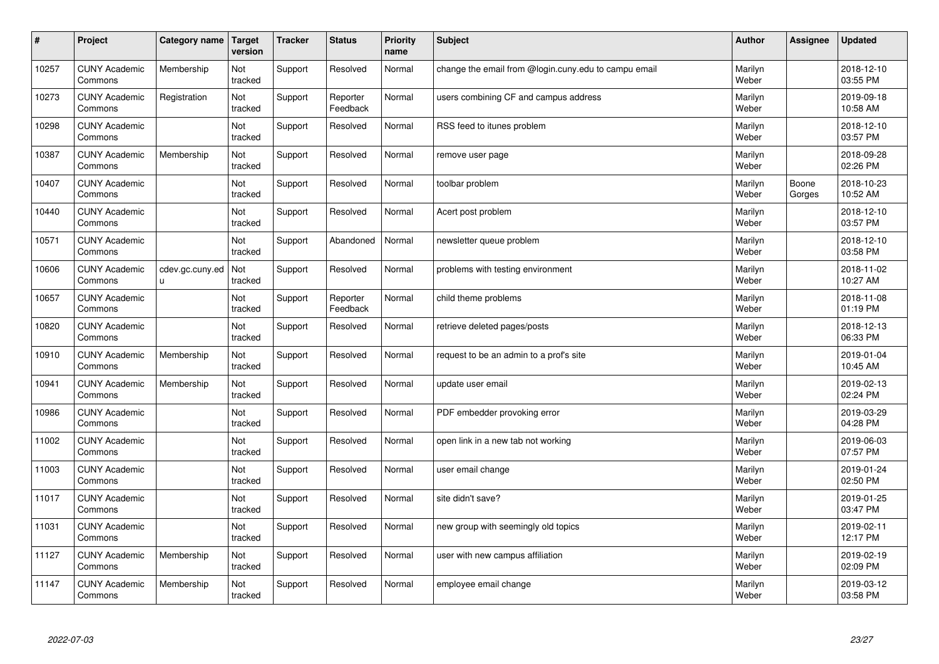| $\vert$ # | Project                         | Category name                   | <b>Target</b><br>version | <b>Tracker</b> | <b>Status</b>        | <b>Priority</b><br>name | Subject                                              | <b>Author</b>    | Assignee        | <b>Updated</b>         |
|-----------|---------------------------------|---------------------------------|--------------------------|----------------|----------------------|-------------------------|------------------------------------------------------|------------------|-----------------|------------------------|
| 10257     | <b>CUNY Academic</b><br>Commons | Membership                      | Not<br>tracked           | Support        | Resolved             | Normal                  | change the email from @login.cuny.edu to campu email | Marilyn<br>Weber |                 | 2018-12-10<br>03:55 PM |
| 10273     | <b>CUNY Academic</b><br>Commons | Registration                    | Not<br>tracked           | Support        | Reporter<br>Feedback | Normal                  | users combining CF and campus address                | Marilyn<br>Weber |                 | 2019-09-18<br>10:58 AM |
| 10298     | <b>CUNY Academic</b><br>Commons |                                 | Not<br>tracked           | Support        | Resolved             | Normal                  | RSS feed to itunes problem                           | Marilyn<br>Weber |                 | 2018-12-10<br>03:57 PM |
| 10387     | <b>CUNY Academic</b><br>Commons | Membership                      | Not<br>tracked           | Support        | Resolved             | Normal                  | remove user page                                     | Marilyn<br>Weber |                 | 2018-09-28<br>02:26 PM |
| 10407     | <b>CUNY Academic</b><br>Commons |                                 | <b>Not</b><br>tracked    | Support        | Resolved             | Normal                  | toolbar problem                                      | Marilyn<br>Weber | Boone<br>Gorges | 2018-10-23<br>10:52 AM |
| 10440     | <b>CUNY Academic</b><br>Commons |                                 | Not<br>tracked           | Support        | Resolved             | Normal                  | Acert post problem                                   | Marilyn<br>Weber |                 | 2018-12-10<br>03:57 PM |
| 10571     | <b>CUNY Academic</b><br>Commons |                                 | Not<br>tracked           | Support        | Abandoned            | Normal                  | newsletter queue problem                             | Marilyn<br>Weber |                 | 2018-12-10<br>03:58 PM |
| 10606     | <b>CUNY Academic</b><br>Commons | cdev.gc.cuny.ed<br>$\mathsf{u}$ | Not<br>tracked           | Support        | Resolved             | Normal                  | problems with testing environment                    | Marilyn<br>Weber |                 | 2018-11-02<br>10:27 AM |
| 10657     | <b>CUNY Academic</b><br>Commons |                                 | Not<br>tracked           | Support        | Reporter<br>Feedback | Normal                  | child theme problems                                 | Marilyn<br>Weber |                 | 2018-11-08<br>01:19 PM |
| 10820     | <b>CUNY Academic</b><br>Commons |                                 | Not<br>tracked           | Support        | Resolved             | Normal                  | retrieve deleted pages/posts                         | Marilyn<br>Weber |                 | 2018-12-13<br>06:33 PM |
| 10910     | <b>CUNY Academic</b><br>Commons | Membership                      | Not<br>tracked           | Support        | Resolved             | Normal                  | request to be an admin to a prof's site              | Marilyn<br>Weber |                 | 2019-01-04<br>10:45 AM |
| 10941     | <b>CUNY Academic</b><br>Commons | Membership                      | Not<br>tracked           | Support        | Resolved             | Normal                  | update user email                                    | Marilyn<br>Weber |                 | 2019-02-13<br>02:24 PM |
| 10986     | <b>CUNY Academic</b><br>Commons |                                 | Not<br>tracked           | Support        | Resolved             | Normal                  | PDF embedder provoking error                         | Marilyn<br>Weber |                 | 2019-03-29<br>04:28 PM |
| 11002     | <b>CUNY Academic</b><br>Commons |                                 | Not<br>tracked           | Support        | Resolved             | Normal                  | open link in a new tab not working                   | Marilyn<br>Weber |                 | 2019-06-03<br>07:57 PM |
| 11003     | <b>CUNY Academic</b><br>Commons |                                 | Not<br>tracked           | Support        | Resolved             | Normal                  | user email change                                    | Marilyn<br>Weber |                 | 2019-01-24<br>02:50 PM |
| 11017     | <b>CUNY Academic</b><br>Commons |                                 | Not<br>tracked           | Support        | Resolved             | Normal                  | site didn't save?                                    | Marilyn<br>Weber |                 | 2019-01-25<br>03:47 PM |
| 11031     | <b>CUNY Academic</b><br>Commons |                                 | Not<br>tracked           | Support        | Resolved             | Normal                  | new group with seemingly old topics                  | Marilyn<br>Weber |                 | 2019-02-11<br>12:17 PM |
| 11127     | <b>CUNY Academic</b><br>Commons | Membership                      | Not<br>tracked           | Support        | Resolved             | Normal                  | user with new campus affiliation                     | Marilyn<br>Weber |                 | 2019-02-19<br>02:09 PM |
| 11147     | <b>CUNY Academic</b><br>Commons | Membership                      | Not<br>tracked           | Support        | Resolved             | Normal                  | employee email change                                | Marilyn<br>Weber |                 | 2019-03-12<br>03:58 PM |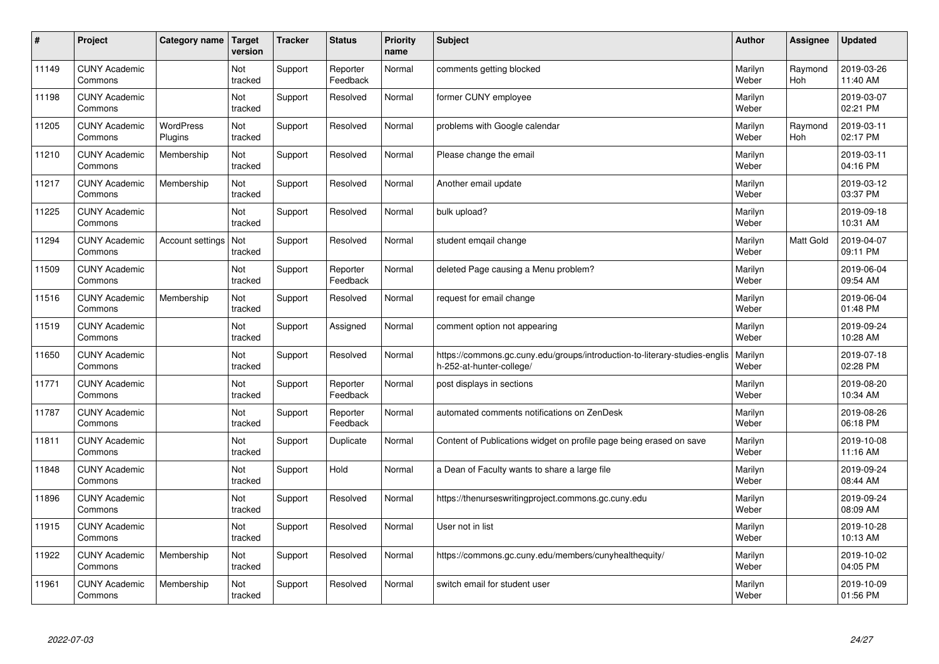| #     | Project                         | Category name               | Target<br>version | <b>Tracker</b> | <b>Status</b>        | <b>Priority</b><br>name | <b>Subject</b>                                                                                         | <b>Author</b>    | Assignee              | <b>Updated</b>         |
|-------|---------------------------------|-----------------------------|-------------------|----------------|----------------------|-------------------------|--------------------------------------------------------------------------------------------------------|------------------|-----------------------|------------------------|
| 11149 | <b>CUNY Academic</b><br>Commons |                             | Not<br>tracked    | Support        | Reporter<br>Feedback | Normal                  | comments getting blocked                                                                               | Marilyn<br>Weber | Raymond<br><b>Hoh</b> | 2019-03-26<br>11:40 AM |
| 11198 | <b>CUNY Academic</b><br>Commons |                             | Not<br>tracked    | Support        | Resolved             | Normal                  | former CUNY employee                                                                                   | Marilyn<br>Weber |                       | 2019-03-07<br>02:21 PM |
| 11205 | <b>CUNY Academic</b><br>Commons | <b>WordPress</b><br>Plugins | Not<br>tracked    | Support        | Resolved             | Normal                  | problems with Google calendar                                                                          | Marilyn<br>Weber | Raymond<br>Hoh        | 2019-03-11<br>02:17 PM |
| 11210 | <b>CUNY Academic</b><br>Commons | Membership                  | Not<br>tracked    | Support        | Resolved             | Normal                  | Please change the email                                                                                | Marilyn<br>Weber |                       | 2019-03-11<br>04:16 PM |
| 11217 | <b>CUNY Academic</b><br>Commons | Membership                  | Not<br>tracked    | Support        | Resolved             | Normal                  | Another email update                                                                                   | Marilyn<br>Weber |                       | 2019-03-12<br>03:37 PM |
| 11225 | <b>CUNY Academic</b><br>Commons |                             | Not<br>tracked    | Support        | Resolved             | Normal                  | bulk upload?                                                                                           | Marilyn<br>Weber |                       | 2019-09-18<br>10:31 AM |
| 11294 | <b>CUNY Academic</b><br>Commons | Account settings            | Not<br>tracked    | Support        | Resolved             | Normal                  | student emgail change                                                                                  | Marilyn<br>Weber | Matt Gold             | 2019-04-07<br>09:11 PM |
| 11509 | <b>CUNY Academic</b><br>Commons |                             | Not<br>tracked    | Support        | Reporter<br>Feedback | Normal                  | deleted Page causing a Menu problem?                                                                   | Marilyn<br>Weber |                       | 2019-06-04<br>09:54 AM |
| 11516 | <b>CUNY Academic</b><br>Commons | Membership                  | Not<br>tracked    | Support        | Resolved             | Normal                  | request for email change                                                                               | Marilyn<br>Weber |                       | 2019-06-04<br>01:48 PM |
| 11519 | <b>CUNY Academic</b><br>Commons |                             | Not<br>tracked    | Support        | Assigned             | Normal                  | comment option not appearing                                                                           | Marilyn<br>Weber |                       | 2019-09-24<br>10:28 AM |
| 11650 | <b>CUNY Academic</b><br>Commons |                             | Not<br>tracked    | Support        | Resolved             | Normal                  | https://commons.gc.cuny.edu/groups/introduction-to-literary-studies-englis<br>h-252-at-hunter-college/ | Marilyn<br>Weber |                       | 2019-07-18<br>02:28 PM |
| 11771 | <b>CUNY Academic</b><br>Commons |                             | Not<br>tracked    | Support        | Reporter<br>Feedback | Normal                  | post displays in sections                                                                              | Marilyn<br>Weber |                       | 2019-08-20<br>10:34 AM |
| 11787 | <b>CUNY Academic</b><br>Commons |                             | Not<br>tracked    | Support        | Reporter<br>Feedback | Normal                  | automated comments notifications on ZenDesk                                                            | Marilyn<br>Weber |                       | 2019-08-26<br>06:18 PM |
| 11811 | <b>CUNY Academic</b><br>Commons |                             | Not<br>tracked    | Support        | Duplicate            | Normal                  | Content of Publications widget on profile page being erased on save                                    | Marilyn<br>Weber |                       | 2019-10-08<br>11:16 AM |
| 11848 | <b>CUNY Academic</b><br>Commons |                             | Not<br>tracked    | Support        | Hold                 | Normal                  | a Dean of Faculty wants to share a large file                                                          | Marilyn<br>Weber |                       | 2019-09-24<br>08:44 AM |
| 11896 | <b>CUNY Academic</b><br>Commons |                             | Not<br>tracked    | Support        | Resolved             | Normal                  | https://thenurseswritingproject.commons.gc.cuny.edu                                                    | Marilyn<br>Weber |                       | 2019-09-24<br>08:09 AM |
| 11915 | <b>CUNY Academic</b><br>Commons |                             | Not<br>tracked    | Support        | Resolved             | Normal                  | User not in list                                                                                       | Marilyn<br>Weber |                       | 2019-10-28<br>10:13 AM |
| 11922 | <b>CUNY Academic</b><br>Commons | Membership                  | Not<br>tracked    | Support        | Resolved             | Normal                  | https://commons.gc.cuny.edu/members/cunyhealthequity/                                                  | Marilyn<br>Weber |                       | 2019-10-02<br>04:05 PM |
| 11961 | <b>CUNY Academic</b><br>Commons | Membership                  | Not<br>tracked    | Support        | Resolved             | Normal                  | switch email for student user                                                                          | Marilyn<br>Weber |                       | 2019-10-09<br>01:56 PM |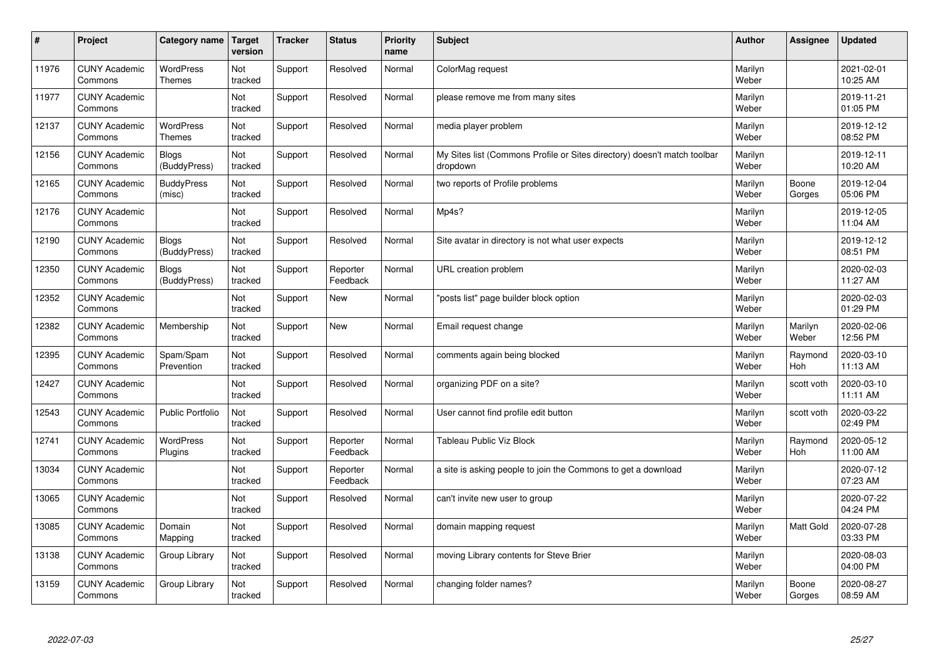| $\sharp$ | Project                         | Category name                | <b>Target</b><br>version | <b>Tracker</b> | <b>Status</b>        | <b>Priority</b><br>name | <b>Subject</b>                                                                       | <b>Author</b>    | <b>Assignee</b>  | <b>Updated</b>         |
|----------|---------------------------------|------------------------------|--------------------------|----------------|----------------------|-------------------------|--------------------------------------------------------------------------------------|------------------|------------------|------------------------|
| 11976    | <b>CUNY Academic</b><br>Commons | WordPress<br><b>Themes</b>   | Not<br>tracked           | Support        | Resolved             | Normal                  | ColorMag request                                                                     | Marilyn<br>Weber |                  | 2021-02-01<br>10:25 AM |
| 11977    | <b>CUNY Academic</b><br>Commons |                              | Not<br>tracked           | Support        | Resolved             | Normal                  | please remove me from many sites                                                     | Marilyn<br>Weber |                  | 2019-11-21<br>01:05 PM |
| 12137    | <b>CUNY Academic</b><br>Commons | WordPress<br>Themes          | Not<br>tracked           | Support        | Resolved             | Normal                  | media player problem                                                                 | Marilyn<br>Weber |                  | 2019-12-12<br>08:52 PM |
| 12156    | <b>CUNY Academic</b><br>Commons | <b>Blogs</b><br>(BuddyPress) | Not<br>tracked           | Support        | Resolved             | Normal                  | My Sites list (Commons Profile or Sites directory) doesn't match toolbar<br>dropdown | Marilyn<br>Weber |                  | 2019-12-11<br>10:20 AM |
| 12165    | <b>CUNY Academic</b><br>Commons | <b>BuddyPress</b><br>(misc)  | Not<br>tracked           | Support        | Resolved             | Normal                  | two reports of Profile problems                                                      | Marilyn<br>Weber | Boone<br>Gorges  | 2019-12-04<br>05:06 PM |
| 12176    | <b>CUNY Academic</b><br>Commons |                              | Not<br>tracked           | Support        | Resolved             | Normal                  | Mp4s?                                                                                | Marilyn<br>Weber |                  | 2019-12-05<br>11:04 AM |
| 12190    | <b>CUNY Academic</b><br>Commons | <b>Blogs</b><br>(BuddyPress) | Not<br>tracked           | Support        | Resolved             | Normal                  | Site avatar in directory is not what user expects                                    | Marilyn<br>Weber |                  | 2019-12-12<br>08:51 PM |
| 12350    | <b>CUNY Academic</b><br>Commons | Blogs<br>(BuddyPress)        | Not<br>tracked           | Support        | Reporter<br>Feedback | Normal                  | URL creation problem                                                                 | Marilyn<br>Weber |                  | 2020-02-03<br>11:27 AM |
| 12352    | <b>CUNY Academic</b><br>Commons |                              | Not<br>tracked           | Support        | <b>New</b>           | Normal                  | "posts list" page builder block option                                               | Marilyn<br>Weber |                  | 2020-02-03<br>01:29 PM |
| 12382    | <b>CUNY Academic</b><br>Commons | Membership                   | Not<br>tracked           | Support        | <b>New</b>           | Normal                  | Email request change                                                                 | Marilyn<br>Weber | Marilyn<br>Weber | 2020-02-06<br>12:56 PM |
| 12395    | <b>CUNY Academic</b><br>Commons | Spam/Spam<br>Prevention      | Not<br>tracked           | Support        | Resolved             | Normal                  | comments again being blocked                                                         | Marilyn<br>Weber | Raymond<br>Hoh   | 2020-03-10<br>11:13 AM |
| 12427    | <b>CUNY Academic</b><br>Commons |                              | Not<br>tracked           | Support        | Resolved             | Normal                  | organizing PDF on a site?                                                            | Marilyn<br>Weber | scott voth       | 2020-03-10<br>11:11 AM |
| 12543    | <b>CUNY Academic</b><br>Commons | <b>Public Portfolio</b>      | Not<br>tracked           | Support        | Resolved             | Normal                  | User cannot find profile edit button                                                 | Marilyn<br>Weber | scott voth       | 2020-03-22<br>02:49 PM |
| 12741    | <b>CUNY Academic</b><br>Commons | WordPress<br>Plugins         | Not<br>tracked           | Support        | Reporter<br>Feedback | Normal                  | Tableau Public Viz Block                                                             | Marilyn<br>Weber | Raymond<br>Hoh   | 2020-05-12<br>11:00 AM |
| 13034    | <b>CUNY Academic</b><br>Commons |                              | Not<br>tracked           | Support        | Reporter<br>Feedback | Normal                  | a site is asking people to join the Commons to get a download                        | Marilyn<br>Weber |                  | 2020-07-12<br>07:23 AM |
| 13065    | <b>CUNY Academic</b><br>Commons |                              | <b>Not</b><br>tracked    | Support        | Resolved             | Normal                  | can't invite new user to group                                                       | Marilyn<br>Weber |                  | 2020-07-22<br>04:24 PM |
| 13085    | <b>CUNY Academic</b><br>Commons | Domain<br>Mapping            | Not<br>tracked           | Support        | Resolved             | Normal                  | domain mapping request                                                               | Marilyn<br>Weber | Matt Gold        | 2020-07-28<br>03:33 PM |
| 13138    | <b>CUNY Academic</b><br>Commons | Group Library                | Not<br>tracked           | Support        | Resolved             | Normal                  | moving Library contents for Steve Brier                                              | Marilyn<br>Weber |                  | 2020-08-03<br>04:00 PM |
| 13159    | <b>CUNY Academic</b><br>Commons | Group Library                | Not<br>tracked           | Support        | Resolved             | Normal                  | changing folder names?                                                               | Marilyn<br>Weber | Boone<br>Gorges  | 2020-08-27<br>08:59 AM |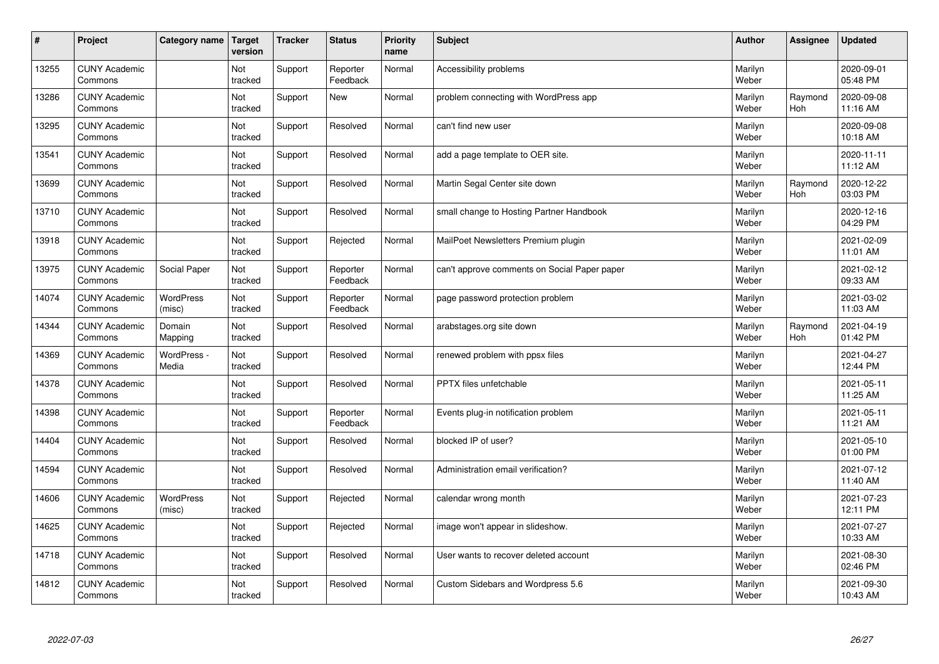| $\sharp$ | Project                         | Category name        | <b>Target</b><br>version | <b>Tracker</b> | <b>Status</b>        | Priority<br>name | <b>Subject</b>                               | <b>Author</b>    | Assignee       | <b>Updated</b>         |
|----------|---------------------------------|----------------------|--------------------------|----------------|----------------------|------------------|----------------------------------------------|------------------|----------------|------------------------|
| 13255    | <b>CUNY Academic</b><br>Commons |                      | Not<br>tracked           | Support        | Reporter<br>Feedback | Normal           | Accessibility problems                       | Marilyn<br>Weber |                | 2020-09-01<br>05:48 PM |
| 13286    | <b>CUNY Academic</b><br>Commons |                      | Not<br>tracked           | Support        | <b>New</b>           | Normal           | problem connecting with WordPress app        | Marilyn<br>Weber | Raymond<br>Hoh | 2020-09-08<br>11:16 AM |
| 13295    | <b>CUNY Academic</b><br>Commons |                      | Not<br>tracked           | Support        | Resolved             | Normal           | can't find new user                          | Marilyn<br>Weber |                | 2020-09-08<br>10:18 AM |
| 13541    | <b>CUNY Academic</b><br>Commons |                      | Not<br>tracked           | Support        | Resolved             | Normal           | add a page template to OER site.             | Marilyn<br>Weber |                | 2020-11-11<br>11:12 AM |
| 13699    | <b>CUNY Academic</b><br>Commons |                      | Not<br>tracked           | Support        | Resolved             | Normal           | Martin Segal Center site down                | Marilyn<br>Weber | Raymond<br>Hoh | 2020-12-22<br>03:03 PM |
| 13710    | <b>CUNY Academic</b><br>Commons |                      | Not<br>tracked           | Support        | Resolved             | Normal           | small change to Hosting Partner Handbook     | Marilyn<br>Weber |                | 2020-12-16<br>04:29 PM |
| 13918    | <b>CUNY Academic</b><br>Commons |                      | Not<br>tracked           | Support        | Rejected             | Normal           | MailPoet Newsletters Premium plugin          | Marilyn<br>Weber |                | 2021-02-09<br>11:01 AM |
| 13975    | <b>CUNY Academic</b><br>Commons | Social Paper         | Not<br>tracked           | Support        | Reporter<br>Feedback | Normal           | can't approve comments on Social Paper paper | Marilyn<br>Weber |                | 2021-02-12<br>09:33 AM |
| 14074    | <b>CUNY Academic</b><br>Commons | WordPress<br>(misc)  | Not<br>tracked           | Support        | Reporter<br>Feedback | Normal           | page password protection problem             | Marilyn<br>Weber |                | 2021-03-02<br>11:03 AM |
| 14344    | <b>CUNY Academic</b><br>Commons | Domain<br>Mapping    | Not<br>tracked           | Support        | Resolved             | Normal           | arabstages.org site down                     | Marilyn<br>Weber | Raymond<br>Hoh | 2021-04-19<br>01:42 PM |
| 14369    | <b>CUNY Academic</b><br>Commons | WordPress -<br>Media | Not<br>tracked           | Support        | Resolved             | Normal           | renewed problem with ppsx files              | Marilyn<br>Weber |                | 2021-04-27<br>12:44 PM |
| 14378    | <b>CUNY Academic</b><br>Commons |                      | Not<br>tracked           | Support        | Resolved             | Normal           | PPTX files unfetchable                       | Marilyn<br>Weber |                | 2021-05-11<br>11:25 AM |
| 14398    | <b>CUNY Academic</b><br>Commons |                      | Not<br>tracked           | Support        | Reporter<br>Feedback | Normal           | Events plug-in notification problem          | Marilyn<br>Weber |                | 2021-05-11<br>11:21 AM |
| 14404    | <b>CUNY Academic</b><br>Commons |                      | Not<br>tracked           | Support        | Resolved             | Normal           | blocked IP of user?                          | Marilyn<br>Weber |                | 2021-05-10<br>01:00 PM |
| 14594    | <b>CUNY Academic</b><br>Commons |                      | Not<br>tracked           | Support        | Resolved             | Normal           | Administration email verification?           | Marilyn<br>Weber |                | 2021-07-12<br>11:40 AM |
| 14606    | <b>CUNY Academic</b><br>Commons | WordPress<br>(misc)  | Not<br>tracked           | Support        | Rejected             | Normal           | calendar wrong month                         | Marilyn<br>Weber |                | 2021-07-23<br>12:11 PM |
| 14625    | <b>CUNY Academic</b><br>Commons |                      | Not<br>tracked           | Support        | Rejected             | Normal           | image won't appear in slideshow.             | Marilyn<br>Weber |                | 2021-07-27<br>10:33 AM |
| 14718    | <b>CUNY Academic</b><br>Commons |                      | Not<br>tracked           | Support        | Resolved             | Normal           | User wants to recover deleted account        | Marilyn<br>Weber |                | 2021-08-30<br>02:46 PM |
| 14812    | <b>CUNY Academic</b><br>Commons |                      | Not<br>tracked           | Support        | Resolved             | Normal           | Custom Sidebars and Wordpress 5.6            | Marilyn<br>Weber |                | 2021-09-30<br>10:43 AM |